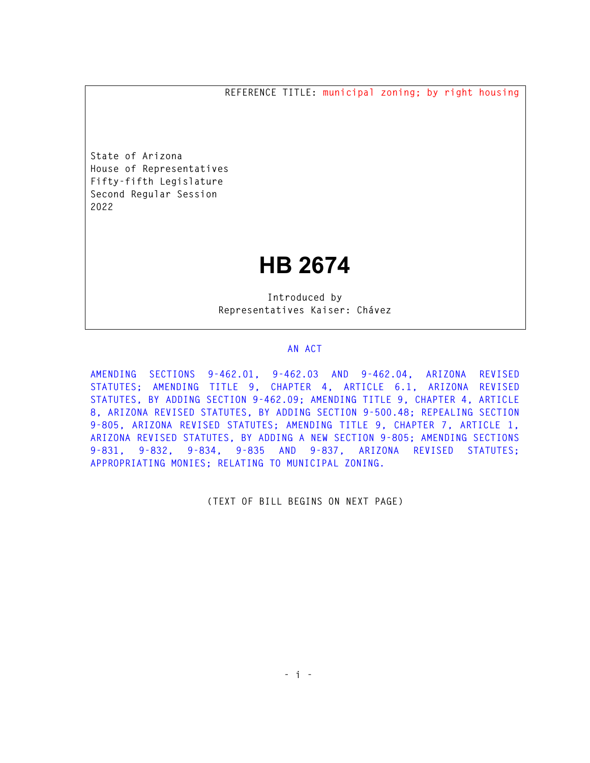**REFERENCE TITLE: municipal zoning; by right housing** 

**State of Arizona House of Representatives Fifty-fifth Legislature Second Regular Session 2022** 

## **HB 2674**

**Introduced by Representatives Kaiser: Chávez** 

## **AN ACT**

**AMENDING SECTIONS 9-462.01, 9-462.03 AND 9-462.04, ARIZONA REVISED STATUTES; AMENDING TITLE 9, CHAPTER 4, ARTICLE 6.1, ARIZONA REVISED STATUTES, BY ADDING SECTION 9-462.09; AMENDING TITLE 9, CHAPTER 4, ARTICLE 8, ARIZONA REVISED STATUTES, BY ADDING SECTION 9-500.48; REPEALING SECTION 9-805, ARIZONA REVISED STATUTES; AMENDING TITLE 9, CHAPTER 7, ARTICLE 1, ARIZONA REVISED STATUTES, BY ADDING A NEW SECTION 9-805; AMENDING SECTIONS 9-831, 9-832, 9-834, 9-835 AND 9-837, ARIZONA REVISED STATUTES; APPROPRIATING MONIES; RELATING TO MUNICIPAL ZONING.** 

**(TEXT OF BILL BEGINS ON NEXT PAGE)**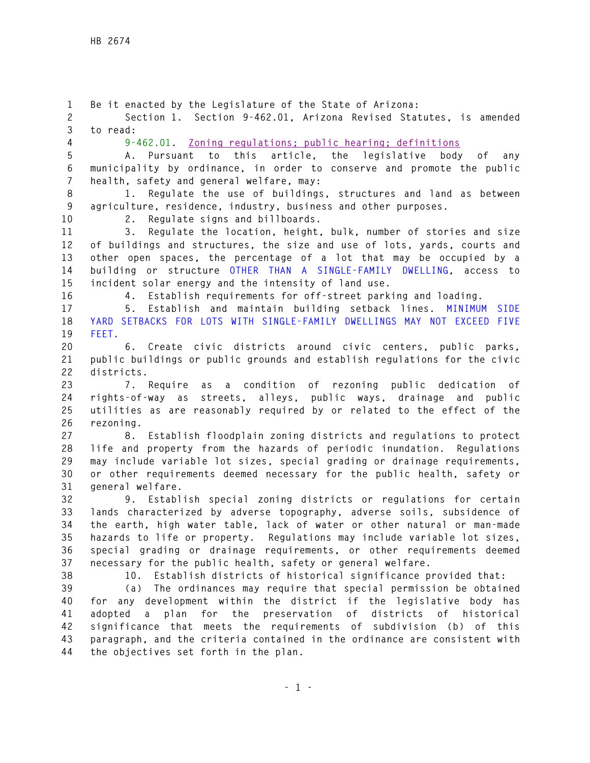**1 Be it enacted by the Legislature of the State of Arizona: 2 Section 1. Section 9-462.01, Arizona Revised Statutes, is amended 3 to read: 4 9-462.01. Zoning regulations; public hearing; definitions 5 A. Pursuant to this article, the legislative body of any 6 municipality by ordinance, in order to conserve and promote the public 7 health, safety and general welfare, may: 8 1. Regulate the use of buildings, structures and land as between 9 agriculture, residence, industry, business and other purposes. 10 2. Regulate signs and billboards. 11 3. Regulate the location, height, bulk, number of stories and size 12 of buildings and structures, the size and use of lots, yards, courts and 13 other open spaces, the percentage of a lot that may be occupied by a 14 building or structure OTHER THAN A SINGLE-FAMILY DWELLING, access to 15 incident solar energy and the intensity of land use. 16 4. Establish requirements for off-street parking and loading. 17 5. Establish and maintain building setback lines. MINIMUM SIDE 18 YARD SETBACKS FOR LOTS WITH SINGLE-FAMILY DWELLINGS MAY NOT EXCEED FIVE 19 FEET. 20 6. Create civic districts around civic centers, public parks, 21 public buildings or public grounds and establish regulations for the civic 22 districts. 23 7. Require as a condition of rezoning public dedication of 24 rights-of-way as streets, alleys, public ways, drainage and public 25 utilities as are reasonably required by or related to the effect of the 26 rezoning. 27 8. Establish floodplain zoning districts and regulations to protect 28 life and property from the hazards of periodic inundation. Regulations 29 may include variable lot sizes, special grading or drainage requirements, 30 or other requirements deemed necessary for the public health, safety or 31 general welfare. 32 9. Establish special zoning districts or regulations for certain 33 lands characterized by adverse topography, adverse soils, subsidence of 34 the earth, high water table, lack of water or other natural or man-made 35 hazards to life or property. Regulations may include variable lot sizes, 36 special grading or drainage requirements, or other requirements deemed 37 necessary for the public health, safety or general welfare. 38 10. Establish districts of historical significance provided that: 39 (a) The ordinances may require that special permission be obtained 40 for any development within the district if the legislative body has 41 adopted a plan for the preservation of districts of historical 42 significance that meets the requirements of subdivision (b) of this 43 paragraph, and the criteria contained in the ordinance are consistent with 44 the objectives set forth in the plan.**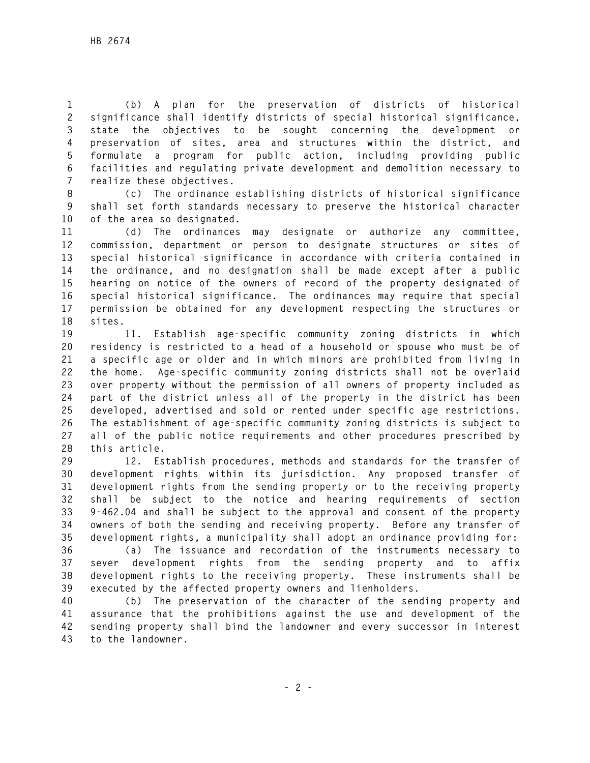**1 (b) A plan for the preservation of districts of historical 2 significance shall identify districts of special historical significance, 3 state the objectives to be sought concerning the development or 4 preservation of sites, area and structures within the district, and 5 formulate a program for public action, including providing public 6 facilities and regulating private development and demolition necessary to 7 realize these objectives.** 

**8 (c) The ordinance establishing districts of historical significance 9 shall set forth standards necessary to preserve the historical character 10 of the area so designated.** 

**11 (d) The ordinances may designate or authorize any committee, 12 commission, department or person to designate structures or sites of 13 special historical significance in accordance with criteria contained in 14 the ordinance, and no designation shall be made except after a public 15 hearing on notice of the owners of record of the property designated of 16 special historical significance. The ordinances may require that special 17 permission be obtained for any development respecting the structures or 18 sites.** 

**19 11. Establish age-specific community zoning districts in which 20 residency is restricted to a head of a household or spouse who must be of 21 a specific age or older and in which minors are prohibited from living in 22 the home. Age-specific community zoning districts shall not be overlaid 23 over property without the permission of all owners of property included as 24 part of the district unless all of the property in the district has been 25 developed, advertised and sold or rented under specific age restrictions. 26 The establishment of age-specific community zoning districts is subject to 27 all of the public notice requirements and other procedures prescribed by 28 this article.** 

**29 12. Establish procedures, methods and standards for the transfer of 30 development rights within its jurisdiction. Any proposed transfer of 31 development rights from the sending property or to the receiving property 32 shall be subject to the notice and hearing requirements of section 33 9-462.04 and shall be subject to the approval and consent of the property 34 owners of both the sending and receiving property. Before any transfer of 35 development rights, a municipality shall adopt an ordinance providing for:** 

**36 (a) The issuance and recordation of the instruments necessary to 37 sever development rights from the sending property and to affix 38 development rights to the receiving property. These instruments shall be 39 executed by the affected property owners and lienholders.** 

**40 (b) The preservation of the character of the sending property and 41 assurance that the prohibitions against the use and development of the 42 sending property shall bind the landowner and every successor in interest 43 to the landowner.**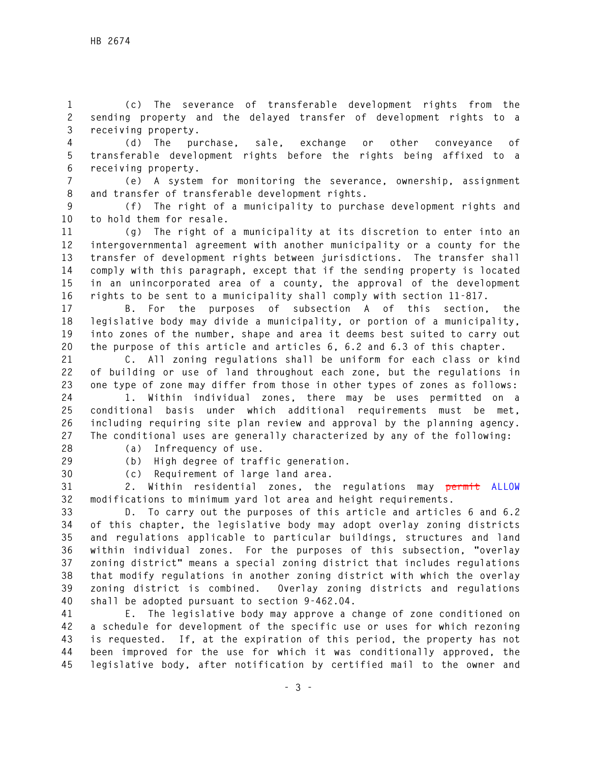**1 (c) The severance of transferable development rights from the 2 sending property and the delayed transfer of development rights to a 3 receiving property.** 

**4 (d) The purchase, sale, exchange or other conveyance of 5 transferable development rights before the rights being affixed to a 6 receiving property.** 

**7 (e) A system for monitoring the severance, ownership, assignment 8 and transfer of transferable development rights.** 

**9 (f) The right of a municipality to purchase development rights and 10 to hold them for resale.** 

**11 (g) The right of a municipality at its discretion to enter into an 12 intergovernmental agreement with another municipality or a county for the 13 transfer of development rights between jurisdictions. The transfer shall 14 comply with this paragraph, except that if the sending property is located 15 in an unincorporated area of a county, the approval of the development 16 rights to be sent to a municipality shall comply with section 11-817.** 

**17 B. For the purposes of subsection A of this section, the 18 legislative body may divide a municipality, or portion of a municipality, 19 into zones of the number, shape and area it deems best suited to carry out 20 the purpose of this article and articles 6, 6.2 and 6.3 of this chapter.** 

**21 C. All zoning regulations shall be uniform for each class or kind 22 of building or use of land throughout each zone, but the regulations in 23 one type of zone may differ from those in other types of zones as follows:** 

**24 1. Within individual zones, there may be uses permitted on a 25 conditional basis under which additional requirements must be met, 26 including requiring site plan review and approval by the planning agency. 27 The conditional uses are generally characterized by any of the following:** 

**28 (a) Infrequency of use.** 

**29 (b) High degree of traffic generation.** 

**30 (c) Requirement of large land area.** 

**31 2. Within residential zones, the regulations may permit ALLOW 32 modifications to minimum yard lot area and height requirements.** 

**33 D. To carry out the purposes of this article and articles 6 and 6.2 34 of this chapter, the legislative body may adopt overlay zoning districts 35 and regulations applicable to particular buildings, structures and land 36 within individual zones. For the purposes of this subsection, "overlay 37 zoning district" means a special zoning district that includes regulations 38 that modify regulations in another zoning district with which the overlay 39 zoning district is combined. Overlay zoning districts and regulations 40 shall be adopted pursuant to section 9-462.04.** 

**41 E. The legislative body may approve a change of zone conditioned on 42 a schedule for development of the specific use or uses for which rezoning 43 is requested. If, at the expiration of this period, the property has not 44 been improved for the use for which it was conditionally approved, the 45 legislative body, after notification by certified mail to the owner and**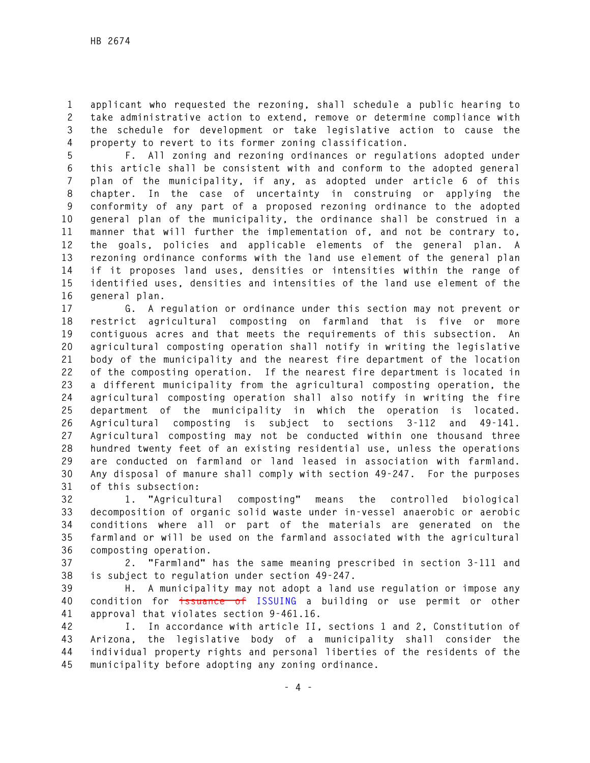**1 applicant who requested the rezoning, shall schedule a public hearing to 2 take administrative action to extend, remove or determine compliance with 3 the schedule for development or take legislative action to cause the 4 property to revert to its former zoning classification.** 

**5 F. All zoning and rezoning ordinances or regulations adopted under 6 this article shall be consistent with and conform to the adopted general 7 plan of the municipality, if any, as adopted under article 6 of this 8 chapter. In the case of uncertainty in construing or applying the 9 conformity of any part of a proposed rezoning ordinance to the adopted 10 general plan of the municipality, the ordinance shall be construed in a 11 manner that will further the implementation of, and not be contrary to, 12 the goals, policies and applicable elements of the general plan. A 13 rezoning ordinance conforms with the land use element of the general plan 14 if it proposes land uses, densities or intensities within the range of 15 identified uses, densities and intensities of the land use element of the 16 general plan.** 

**17 G. A regulation or ordinance under this section may not prevent or 18 restrict agricultural composting on farmland that is five or more 19 contiguous acres and that meets the requirements of this subsection. An 20 agricultural composting operation shall notify in writing the legislative 21 body of the municipality and the nearest fire department of the location 22 of the composting operation. If the nearest fire department is located in 23 a different municipality from the agricultural composting operation, the 24 agricultural composting operation shall also notify in writing the fire 25 department of the municipality in which the operation is located. 26 Agricultural composting is subject to sections 3-112 and 49-141. 27 Agricultural composting may not be conducted within one thousand three 28 hundred twenty feet of an existing residential use, unless the operations 29 are conducted on farmland or land leased in association with farmland. 30 Any disposal of manure shall comply with section 49-247. For the purposes 31 of this subsection:** 

**32 1. "Agricultural composting" means the controlled biological 33 decomposition of organic solid waste under in-vessel anaerobic or aerobic 34 conditions where all or part of the materials are generated on the 35 farmland or will be used on the farmland associated with the agricultural 36 composting operation.** 

**37 2. "Farmland" has the same meaning prescribed in section 3-111 and 38 is subject to regulation under section 49-247.** 

**39 H. A municipality may not adopt a land use regulation or impose any 40 condition for issuance of ISSUING a building or use permit or other 41 approval that violates section 9-461.16.** 

**42 I. In accordance with article II, sections 1 and 2, Constitution of 43 Arizona, the legislative body of a municipality shall consider the 44 individual property rights and personal liberties of the residents of the 45 municipality before adopting any zoning ordinance.**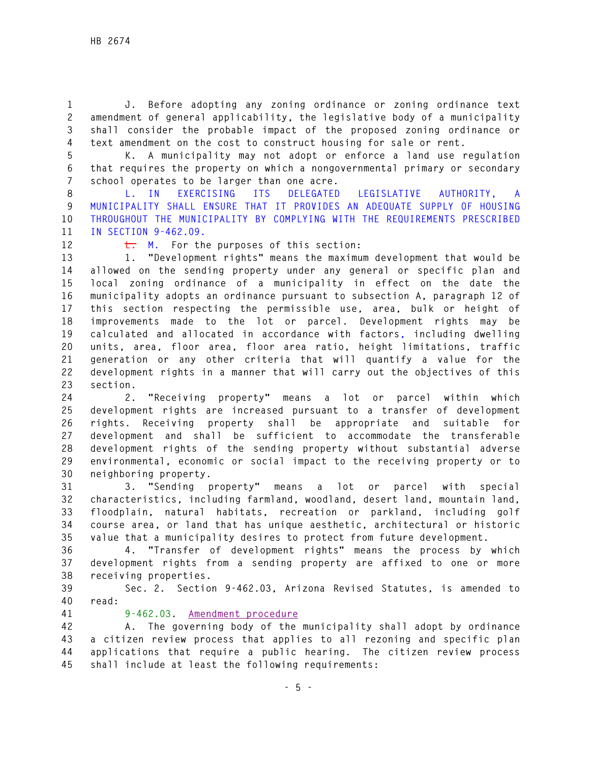**1 J. Before adopting any zoning ordinance or zoning ordinance text 2 amendment of general applicability, the legislative body of a municipality 3 shall consider the probable impact of the proposed zoning ordinance or 4 text amendment on the cost to construct housing for sale or rent.** 

**5 K. A municipality may not adopt or enforce a land use regulation 6 that requires the property on which a nongovernmental primary or secondary 7 school operates to be larger than one acre.** 

**8 L. IN EXERCISING ITS DELEGATED LEGISLATIVE AUTHORITY, A 9 MUNICIPALITY SHALL ENSURE THAT IT PROVIDES AN ADEQUATE SUPPLY OF HOUSING 10 THROUGHOUT THE MUNICIPALITY BY COMPLYING WITH THE REQUIREMENTS PRESCRIBED 11 IN SECTION 9-462.09.** 

12 **L.** M. For the purposes of this section:

**13 1. "Development rights" means the maximum development that would be 14 allowed on the sending property under any general or specific plan and 15 local zoning ordinance of a municipality in effect on the date the 16 municipality adopts an ordinance pursuant to subsection A, paragraph 12 of 17 this section respecting the permissible use, area, bulk or height of 18 improvements made to the lot or parcel. Development rights may be 19 calculated and allocated in accordance with factors, including dwelling 20 units, area, floor area, floor area ratio, height limitations, traffic 21 generation or any other criteria that will quantify a value for the 22 development rights in a manner that will carry out the objectives of this 23 section.** 

**24 2. "Receiving property" means a lot or parcel within which 25 development rights are increased pursuant to a transfer of development 26 rights. Receiving property shall be appropriate and suitable for 27 development and shall be sufficient to accommodate the transferable 28 development rights of the sending property without substantial adverse 29 environmental, economic or social impact to the receiving property or to 30 neighboring property.** 

**31 3. "Sending property" means a lot or parcel with special 32 characteristics, including farmland, woodland, desert land, mountain land, 33 floodplain, natural habitats, recreation or parkland, including golf 34 course area, or land that has unique aesthetic, architectural or historic 35 value that a municipality desires to protect from future development.** 

**36 4. "Transfer of development rights" means the process by which 37 development rights from a sending property are affixed to one or more 38 receiving properties.** 

**39 Sec. 2. Section 9-462.03, Arizona Revised Statutes, is amended to 40 read:** 

**41 9-462.03. Amendment procedure**

**42 A. The governing body of the municipality shall adopt by ordinance 43 a citizen review process that applies to all rezoning and specific plan 44 applications that require a public hearing. The citizen review process 45 shall include at least the following requirements:**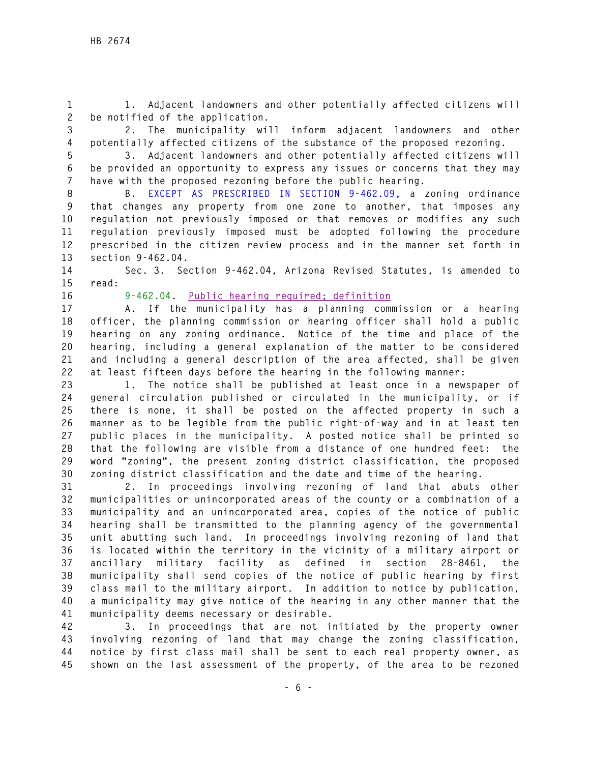**1 1. Adjacent landowners and other potentially affected citizens will 2 be notified of the application.** 

**3 2. The municipality will inform adjacent landowners and other 4 potentially affected citizens of the substance of the proposed rezoning.** 

**5 3. Adjacent landowners and other potentially affected citizens will 6 be provided an opportunity to express any issues or concerns that they may 7 have with the proposed rezoning before the public hearing.** 

**8 B. EXCEPT AS PRESCRIBED IN SECTION 9-462.09, a zoning ordinance 9 that changes any property from one zone to another, that imposes any 10 regulation not previously imposed or that removes or modifies any such 11 regulation previously imposed must be adopted following the procedure 12 prescribed in the citizen review process and in the manner set forth in 13 section 9-462.04.** 

**14 Sec. 3. Section 9-462.04, Arizona Revised Statutes, is amended to 15 read:** 

**16 9-462.04. Public hearing required; definition**

**17 A. If the municipality has a planning commission or a hearing 18 officer, the planning commission or hearing officer shall hold a public 19 hearing on any zoning ordinance. Notice of the time and place of the 20 hearing, including a general explanation of the matter to be considered 21 and including a general description of the area affected, shall be given 22 at least fifteen days before the hearing in the following manner:** 

**23 1. The notice shall be published at least once in a newspaper of 24 general circulation published or circulated in the municipality, or if 25 there is none, it shall be posted on the affected property in such a 26 manner as to be legible from the public right-of-way and in at least ten 27 public places in the municipality. A posted notice shall be printed so 28 that the following are visible from a distance of one hundred feet: the 29 word "zoning", the present zoning district classification, the proposed 30 zoning district classification and the date and time of the hearing.** 

**31 2. In proceedings involving rezoning of land that abuts other 32 municipalities or unincorporated areas of the county or a combination of a 33 municipality and an unincorporated area, copies of the notice of public 34 hearing shall be transmitted to the planning agency of the governmental 35 unit abutting such land. In proceedings involving rezoning of land that 36 is located within the territory in the vicinity of a military airport or 37 ancillary military facility as defined in section 28-8461, the 38 municipality shall send copies of the notice of public hearing by first 39 class mail to the military airport. In addition to notice by publication, 40 a municipality may give notice of the hearing in any other manner that the 41 municipality deems necessary or desirable.** 

**42 3. In proceedings that are not initiated by the property owner 43 involving rezoning of land that may change the zoning classification, 44 notice by first class mail shall be sent to each real property owner, as 45 shown on the last assessment of the property, of the area to be rezoned**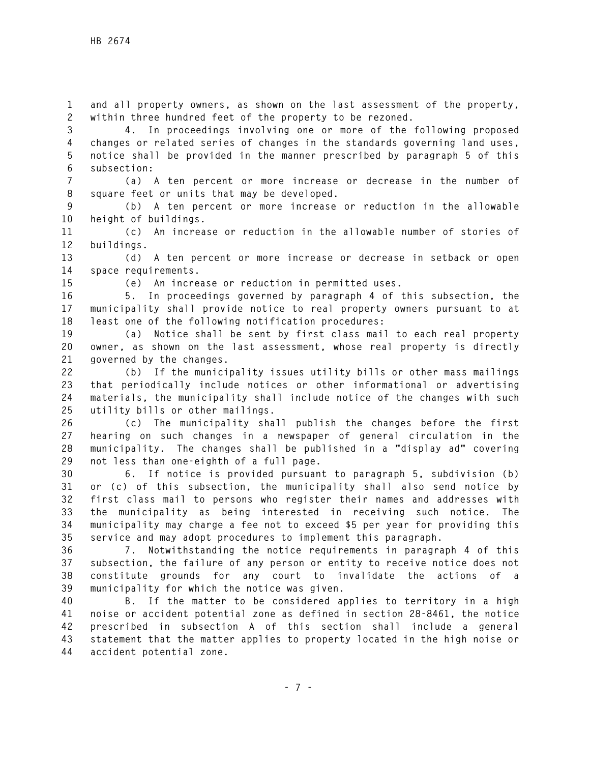**1 and all property owners, as shown on the last assessment of the property, 2 within three hundred feet of the property to be rezoned.** 

**3 4. In proceedings involving one or more of the following proposed 4 changes or related series of changes in the standards governing land uses, 5 notice shall be provided in the manner prescribed by paragraph 5 of this 6 subsection:** 

**7 (a) A ten percent or more increase or decrease in the number of 8 square feet or units that may be developed.** 

**9 (b) A ten percent or more increase or reduction in the allowable 10 height of buildings.** 

**11 (c) An increase or reduction in the allowable number of stories of 12 buildings.** 

**13 (d) A ten percent or more increase or decrease in setback or open 14 space requirements.** 

**15 (e) An increase or reduction in permitted uses.** 

**16 5. In proceedings governed by paragraph 4 of this subsection, the 17 municipality shall provide notice to real property owners pursuant to at 18 least one of the following notification procedures:** 

**19 (a) Notice shall be sent by first class mail to each real property 20 owner, as shown on the last assessment, whose real property is directly 21 governed by the changes.** 

**22 (b) If the municipality issues utility bills or other mass mailings 23 that periodically include notices or other informational or advertising 24 materials, the municipality shall include notice of the changes with such 25 utility bills or other mailings.** 

**26 (c) The municipality shall publish the changes before the first 27 hearing on such changes in a newspaper of general circulation in the 28 municipality. The changes shall be published in a "display ad" covering 29 not less than one-eighth of a full page.** 

**30 6. If notice is provided pursuant to paragraph 5, subdivision (b) 31 or (c) of this subsection, the municipality shall also send notice by 32 first class mail to persons who register their names and addresses with 33 the municipality as being interested in receiving such notice. The 34 municipality may charge a fee not to exceed \$5 per year for providing this 35 service and may adopt procedures to implement this paragraph.** 

**36 7. Notwithstanding the notice requirements in paragraph 4 of this 37 subsection, the failure of any person or entity to receive notice does not 38 constitute grounds for any court to invalidate the actions of a 39 municipality for which the notice was given.** 

**40 B. If the matter to be considered applies to territory in a high 41 noise or accident potential zone as defined in section 28-8461, the notice 42 prescribed in subsection A of this section shall include a general 43 statement that the matter applies to property located in the high noise or 44 accident potential zone.**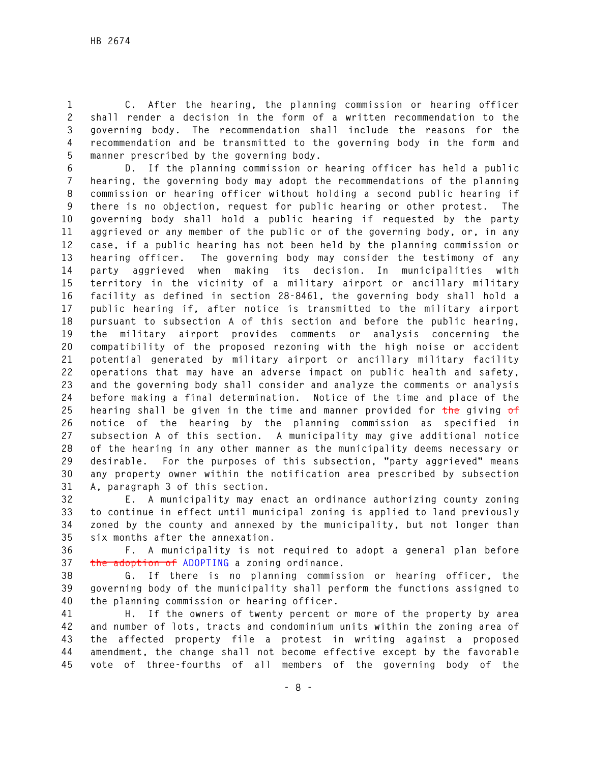**1 C. After the hearing, the planning commission or hearing officer 2 shall render a decision in the form of a written recommendation to the 3 governing body. The recommendation shall include the reasons for the 4 recommendation and be transmitted to the governing body in the form and 5 manner prescribed by the governing body.** 

**6 D. If the planning commission or hearing officer has held a public 7 hearing, the governing body may adopt the recommendations of the planning 8 commission or hearing officer without holding a second public hearing if 9 there is no objection, request for public hearing or other protest. The 10 governing body shall hold a public hearing if requested by the party 11 aggrieved or any member of the public or of the governing body, or, in any 12 case, if a public hearing has not been held by the planning commission or 13 hearing officer. The governing body may consider the testimony of any 14 party aggrieved when making its decision. In municipalities with 15 territory in the vicinity of a military airport or ancillary military 16 facility as defined in section 28-8461, the governing body shall hold a 17 public hearing if, after notice is transmitted to the military airport 18 pursuant to subsection A of this section and before the public hearing, 19 the military airport provides comments or analysis concerning the 20 compatibility of the proposed rezoning with the high noise or accident 21 potential generated by military airport or ancillary military facility 22 operations that may have an adverse impact on public health and safety, 23 and the governing body shall consider and analyze the comments or analysis 24 before making a final determination. Notice of the time and place of the 25 hearing shall be given in the time and manner provided for the giving of 26 notice of the hearing by the planning commission as specified in 27 subsection A of this section. A municipality may give additional notice 28 of the hearing in any other manner as the municipality deems necessary or 29 desirable. For the purposes of this subsection, "party aggrieved" means 30 any property owner within the notification area prescribed by subsection 31 A, paragraph 3 of this section.** 

**32 E. A municipality may enact an ordinance authorizing county zoning 33 to continue in effect until municipal zoning is applied to land previously 34 zoned by the county and annexed by the municipality, but not longer than 35 six months after the annexation.** 

**36 F. A municipality is not required to adopt a general plan before 37 the adoption of ADOPTING a zoning ordinance.** 

**38 G. If there is no planning commission or hearing officer, the 39 governing body of the municipality shall perform the functions assigned to 40 the planning commission or hearing officer.** 

**41 H. If the owners of twenty percent or more of the property by area 42 and number of lots, tracts and condominium units within the zoning area of 43 the affected property file a protest in writing against a proposed 44 amendment, the change shall not become effective except by the favorable 45 vote of three-fourths of all members of the governing body of the**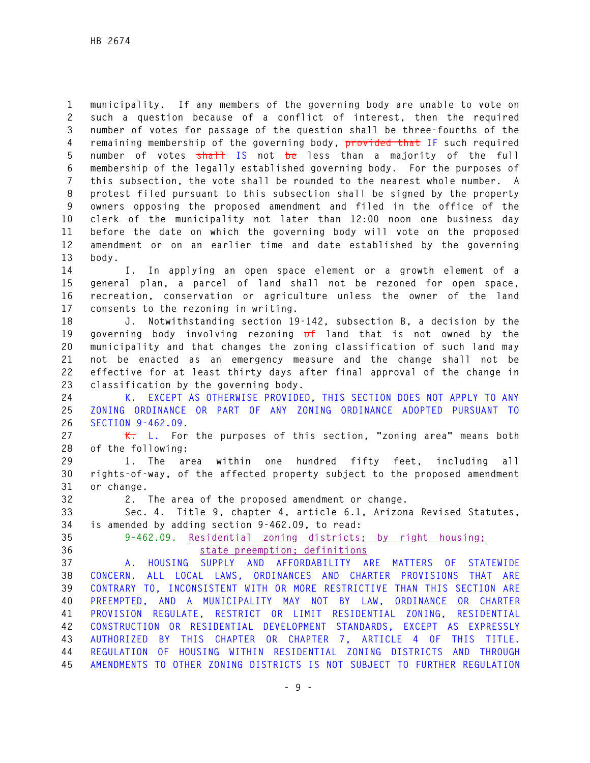**1 municipality. If any members of the governing body are unable to vote on 2 such a question because of a conflict of interest, then the required 3 number of votes for passage of the question shall be three-fourths of the 4 remaining membership of the governing body, provided that IF such required 5 number of votes shall IS not be less than a majority of the full 6 membership of the legally established governing body. For the purposes of 7 this subsection, the vote shall be rounded to the nearest whole number. A 8 protest filed pursuant to this subsection shall be signed by the property 9 owners opposing the proposed amendment and filed in the office of the 10 clerk of the municipality not later than 12:00 noon one business day 11 before the date on which the governing body will vote on the proposed 12 amendment or on an earlier time and date established by the governing 13 body.** 

**14 I. In applying an open space element or a growth element of a 15 general plan, a parcel of land shall not be rezoned for open space, 16 recreation, conservation or agriculture unless the owner of the land 17 consents to the rezoning in writing.** 

**18 J. Notwithstanding section 19-142, subsection B, a decision by the 19 governing body involving rezoning of land that is not owned by the 20 municipality and that changes the zoning classification of such land may 21 not be enacted as an emergency measure and the change shall not be 22 effective for at least thirty days after final approval of the change in 23 classification by the governing body.** 

**24 K. EXCEPT AS OTHERWISE PROVIDED, THIS SECTION DOES NOT APPLY TO ANY 25 ZONING ORDINANCE OR PART OF ANY ZONING ORDINANCE ADOPTED PURSUANT TO 26 SECTION 9-462.09.**

**27 K. L. For the purposes of this section, "zoning area" means both 28 of the following:** 

**29 1. The area within one hundred fifty feet, including all 30 rights-of-way, of the affected property subject to the proposed amendment 31 or change.** 

**32 2. The area of the proposed amendment or change.** 

**33 Sec. 4. Title 9, chapter 4, article 6.1, Arizona Revised Statutes, 34 is amended by adding section 9-462.09, to read:** 

**35 9-462.09. Residential zoning districts; by right housing; 36 state preemption; definitions** 

**37 A. HOUSING SUPPLY AND AFFORDABILITY ARE MATTERS OF STATEWIDE 38 CONCERN. ALL LOCAL LAWS, ORDINANCES AND CHARTER PROVISIONS THAT ARE 39 CONTRARY TO, INCONSISTENT WITH OR MORE RESTRICTIVE THAN THIS SECTION ARE 40 PREEMPTED, AND A MUNICIPALITY MAY NOT BY LAW, ORDINANCE OR CHARTER 41 PROVISION REGULATE, RESTRICT OR LIMIT RESIDENTIAL ZONING, RESIDENTIAL 42 CONSTRUCTION OR RESIDENTIAL DEVELOPMENT STANDARDS, EXCEPT AS EXPRESSLY 43 AUTHORIZED BY THIS CHAPTER OR CHAPTER 7, ARTICLE 4 OF THIS TITLE. 44 REGULATION OF HOUSING WITHIN RESIDENTIAL ZONING DISTRICTS AND THROUGH 45 AMENDMENTS TO OTHER ZONING DISTRICTS IS NOT SUBJECT TO FURTHER REGULATION**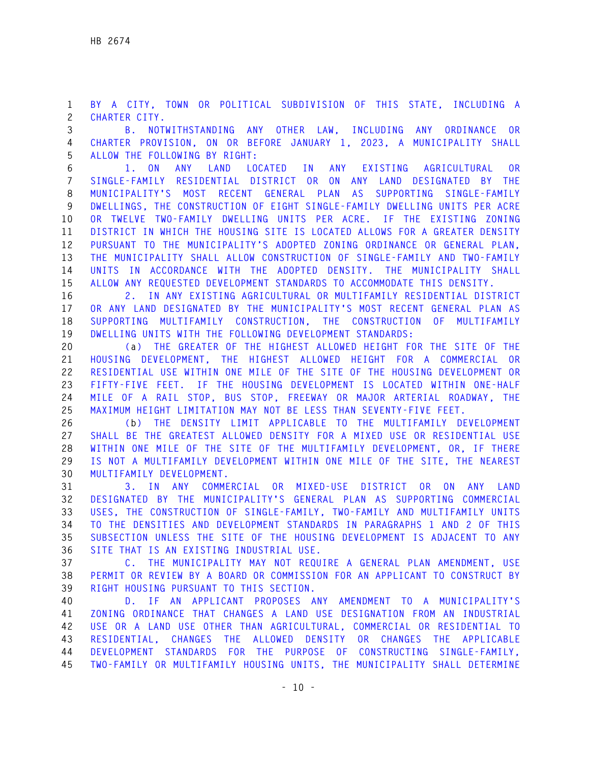**1 BY A CITY, TOWN OR POLITICAL SUBDIVISION OF THIS STATE, INCLUDING A 2 CHARTER CITY.** 

**3 B. NOTWITHSTANDING ANY OTHER LAW, INCLUDING ANY ORDINANCE OR 4 CHARTER PROVISION, ON OR BEFORE JANUARY 1, 2023, A MUNICIPALITY SHALL 5 ALLOW THE FOLLOWING BY RIGHT:** 

**6 1. ON ANY LAND LOCATED IN ANY EXISTING AGRICULTURAL OR 7 SINGLE-FAMILY RESIDENTIAL DISTRICT OR ON ANY LAND DESIGNATED BY THE 8 MUNICIPALITY'S MOST RECENT GENERAL PLAN AS SUPPORTING SINGLE-FAMILY 9 DWELLINGS, THE CONSTRUCTION OF EIGHT SINGLE-FAMILY DWELLING UNITS PER ACRE 10 OR TWELVE TWO-FAMILY DWELLING UNITS PER ACRE. IF THE EXISTING ZONING 11 DISTRICT IN WHICH THE HOUSING SITE IS LOCATED ALLOWS FOR A GREATER DENSITY 12 PURSUANT TO THE MUNICIPALITY'S ADOPTED ZONING ORDINANCE OR GENERAL PLAN, 13 THE MUNICIPALITY SHALL ALLOW CONSTRUCTION OF SINGLE-FAMILY AND TWO-FAMILY 14 UNITS IN ACCORDANCE WITH THE ADOPTED DENSITY. THE MUNICIPALITY SHALL 15 ALLOW ANY REQUESTED DEVELOPMENT STANDARDS TO ACCOMMODATE THIS DENSITY.** 

**16 2. IN ANY EXISTING AGRICULTURAL OR MULTIFAMILY RESIDENTIAL DISTRICT 17 OR ANY LAND DESIGNATED BY THE MUNICIPALITY'S MOST RECENT GENERAL PLAN AS 18 SUPPORTING MULTIFAMILY CONSTRUCTION, THE CONSTRUCTION OF MULTIFAMILY 19 DWELLING UNITS WITH THE FOLLOWING DEVELOPMENT STANDARDS:** 

**20 (a) THE GREATER OF THE HIGHEST ALLOWED HEIGHT FOR THE SITE OF THE 21 HOUSING DEVELOPMENT, THE HIGHEST ALLOWED HEIGHT FOR A COMMERCIAL OR 22 RESIDENTIAL USE WITHIN ONE MILE OF THE SITE OF THE HOUSING DEVELOPMENT OR 23 FIFTY-FIVE FEET. IF THE HOUSING DEVELOPMENT IS LOCATED WITHIN ONE-HALF 24 MILE OF A RAIL STOP, BUS STOP, FREEWAY OR MAJOR ARTERIAL ROADWAY, THE 25 MAXIMUM HEIGHT LIMITATION MAY NOT BE LESS THAN SEVENTY-FIVE FEET.** 

**26 (b) THE DENSITY LIMIT APPLICABLE TO THE MULTIFAMILY DEVELOPMENT 27 SHALL BE THE GREATEST ALLOWED DENSITY FOR A MIXED USE OR RESIDENTIAL USE 28 WITHIN ONE MILE OF THE SITE OF THE MULTIFAMILY DEVELOPMENT, OR, IF THERE 29 IS NOT A MULTIFAMILY DEVELOPMENT WITHIN ONE MILE OF THE SITE, THE NEAREST 30 MULTIFAMILY DEVELOPMENT.** 

**31 3. IN ANY COMMERCIAL OR MIXED-USE DISTRICT OR ON ANY LAND 32 DESIGNATED BY THE MUNICIPALITY'S GENERAL PLAN AS SUPPORTING COMMERCIAL 33 USES, THE CONSTRUCTION OF SINGLE-FAMILY, TWO-FAMILY AND MULTIFAMILY UNITS 34 TO THE DENSITIES AND DEVELOPMENT STANDARDS IN PARAGRAPHS 1 AND 2 OF THIS 35 SUBSECTION UNLESS THE SITE OF THE HOUSING DEVELOPMENT IS ADJACENT TO ANY 36 SITE THAT IS AN EXISTING INDUSTRIAL USE.** 

**37 C. THE MUNICIPALITY MAY NOT REQUIRE A GENERAL PLAN AMENDMENT, USE 38 PERMIT OR REVIEW BY A BOARD OR COMMISSION FOR AN APPLICANT TO CONSTRUCT BY 39 RIGHT HOUSING PURSUANT TO THIS SECTION.** 

**40 D. IF AN APPLICANT PROPOSES ANY AMENDMENT TO A MUNICIPALITY'S 41 ZONING ORDINANCE THAT CHANGES A LAND USE DESIGNATION FROM AN INDUSTRIAL 42 USE OR A LAND USE OTHER THAN AGRICULTURAL, COMMERCIAL OR RESIDENTIAL TO 43 RESIDENTIAL, CHANGES THE ALLOWED DENSITY OR CHANGES THE APPLICABLE 44 DEVELOPMENT STANDARDS FOR THE PURPOSE OF CONSTRUCTING SINGLE-FAMILY, 45 TWO-FAMILY OR MULTIFAMILY HOUSING UNITS, THE MUNICIPALITY SHALL DETERMINE**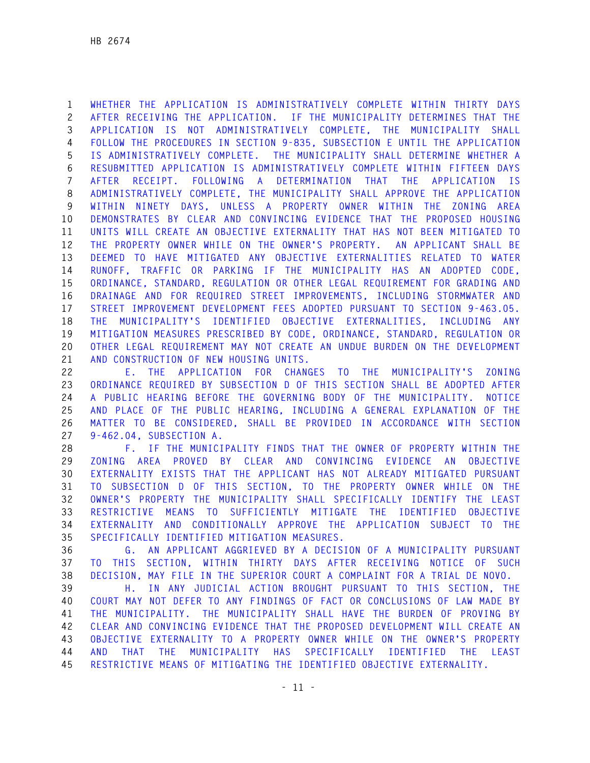**1 WHETHER THE APPLICATION IS ADMINISTRATIVELY COMPLETE WITHIN THIRTY DAYS 2 AFTER RECEIVING THE APPLICATION. IF THE MUNICIPALITY DETERMINES THAT THE 3 APPLICATION IS NOT ADMINISTRATIVELY COMPLETE, THE MUNICIPALITY SHALL 4 FOLLOW THE PROCEDURES IN SECTION 9-835, SUBSECTION E UNTIL THE APPLICATION 5 IS ADMINISTRATIVELY COMPLETE. THE MUNICIPALITY SHALL DETERMINE WHETHER A 6 RESUBMITTED APPLICATION IS ADMINISTRATIVELY COMPLETE WITHIN FIFTEEN DAYS 7 AFTER RECEIPT. FOLLOWING A DETERMINATION THAT THE APPLICATION IS 8 ADMINISTRATIVELY COMPLETE, THE MUNICIPALITY SHALL APPROVE THE APPLICATION 9 WITHIN NINETY DAYS, UNLESS A PROPERTY OWNER WITHIN THE ZONING AREA 10 DEMONSTRATES BY CLEAR AND CONVINCING EVIDENCE THAT THE PROPOSED HOUSING 11 UNITS WILL CREATE AN OBJECTIVE EXTERNALITY THAT HAS NOT BEEN MITIGATED TO 12 THE PROPERTY OWNER WHILE ON THE OWNER'S PROPERTY. AN APPLICANT SHALL BE 13 DEEMED TO HAVE MITIGATED ANY OBJECTIVE EXTERNALITIES RELATED TO WATER 14 RUNOFF, TRAFFIC OR PARKING IF THE MUNICIPALITY HAS AN ADOPTED CODE, 15 ORDINANCE, STANDARD, REGULATION OR OTHER LEGAL REQUIREMENT FOR GRADING AND 16 DRAINAGE AND FOR REQUIRED STREET IMPROVEMENTS, INCLUDING STORMWATER AND 17 STREET IMPROVEMENT DEVELOPMENT FEES ADOPTED PURSUANT TO SECTION 9-463.05. 18 THE MUNICIPALITY'S IDENTIFIED OBJECTIVE EXTERNALITIES, INCLUDING ANY 19 MITIGATION MEASURES PRESCRIBED BY CODE, ORDINANCE, STANDARD, REGULATION OR 20 OTHER LEGAL REQUIREMENT MAY NOT CREATE AN UNDUE BURDEN ON THE DEVELOPMENT 21 AND CONSTRUCTION OF NEW HOUSING UNITS.** 

**22 E. THE APPLICATION FOR CHANGES TO THE MUNICIPALITY'S ZONING 23 ORDINANCE REQUIRED BY SUBSECTION D OF THIS SECTION SHALL BE ADOPTED AFTER 24 A PUBLIC HEARING BEFORE THE GOVERNING BODY OF THE MUNICIPALITY. NOTICE 25 AND PLACE OF THE PUBLIC HEARING, INCLUDING A GENERAL EXPLANATION OF THE 26 MATTER TO BE CONSIDERED, SHALL BE PROVIDED IN ACCORDANCE WITH SECTION 27 9-462.04, SUBSECTION A.** 

**28 F. IF THE MUNICIPALITY FINDS THAT THE OWNER OF PROPERTY WITHIN THE 29 ZONING AREA PROVED BY CLEAR AND CONVINCING EVIDENCE AN OBJECTIVE 30 EXTERNALITY EXISTS THAT THE APPLICANT HAS NOT ALREADY MITIGATED PURSUANT 31 TO SUBSECTION D OF THIS SECTION, TO THE PROPERTY OWNER WHILE ON THE 32 OWNER'S PROPERTY THE MUNICIPALITY SHALL SPECIFICALLY IDENTIFY THE LEAST 33 RESTRICTIVE MEANS TO SUFFICIENTLY MITIGATE THE IDENTIFIED OBJECTIVE 34 EXTERNALITY AND CONDITIONALLY APPROVE THE APPLICATION SUBJECT TO THE 35 SPECIFICALLY IDENTIFIED MITIGATION MEASURES.** 

**36 G. AN APPLICANT AGGRIEVED BY A DECISION OF A MUNICIPALITY PURSUANT 37 TO THIS SECTION, WITHIN THIRTY DAYS AFTER RECEIVING NOTICE OF SUCH 38 DECISION, MAY FILE IN THE SUPERIOR COURT A COMPLAINT FOR A TRIAL DE NOVO.** 

**39 H. IN ANY JUDICIAL ACTION BROUGHT PURSUANT TO THIS SECTION, THE 40 COURT MAY NOT DEFER TO ANY FINDINGS OF FACT OR CONCLUSIONS OF LAW MADE BY 41 THE MUNICIPALITY. THE MUNICIPALITY SHALL HAVE THE BURDEN OF PROVING BY 42 CLEAR AND CONVINCING EVIDENCE THAT THE PROPOSED DEVELOPMENT WILL CREATE AN 43 OBJECTIVE EXTERNALITY TO A PROPERTY OWNER WHILE ON THE OWNER'S PROPERTY 44 AND THAT THE MUNICIPALITY HAS SPECIFICALLY IDENTIFIED THE LEAST 45 RESTRICTIVE MEANS OF MITIGATING THE IDENTIFIED OBJECTIVE EXTERNALITY.**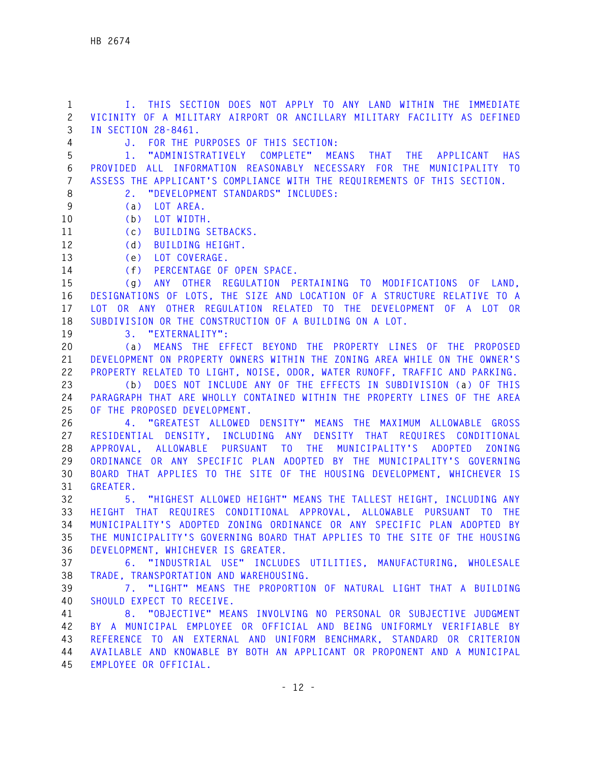**1 I. THIS SECTION DOES NOT APPLY TO ANY LAND WITHIN THE IMMEDIATE 2 VICINITY OF A MILITARY AIRPORT OR ANCILLARY MILITARY FACILITY AS DEFINED 3 IN SECTION 28-8461. 4 J. FOR THE PURPOSES OF THIS SECTION: 5 1. "ADMINISTRATIVELY COMPLETE" MEANS THAT THE APPLICANT HAS 6 PROVIDED ALL INFORMATION REASONABLY NECESSARY FOR THE MUNICIPALITY TO 7 ASSESS THE APPLICANT'S COMPLIANCE WITH THE REQUIREMENTS OF THIS SECTION. 8 2. "DEVELOPMENT STANDARDS" INCLUDES: 9 (a) LOT AREA. 10 (b) LOT WIDTH. 11 (c) BUILDING SETBACKS. 12 (d) BUILDING HEIGHT. 13 (e) LOT COVERAGE. 14 (f) PERCENTAGE OF OPEN SPACE. 15 (g) ANY OTHER REGULATION PERTAINING TO MODIFICATIONS OF LAND, 16 DESIGNATIONS OF LOTS, THE SIZE AND LOCATION OF A STRUCTURE RELATIVE TO A 17 LOT OR ANY OTHER REGULATION RELATED TO THE DEVELOPMENT OF A LOT OR 18 SUBDIVISION OR THE CONSTRUCTION OF A BUILDING ON A LOT. 19 3. "EXTERNALITY": 20 (a) MEANS THE EFFECT BEYOND THE PROPERTY LINES OF THE PROPOSED 21 DEVELOPMENT ON PROPERTY OWNERS WITHIN THE ZONING AREA WHILE ON THE OWNER'S 22 PROPERTY RELATED TO LIGHT, NOISE, ODOR, WATER RUNOFF, TRAFFIC AND PARKING. 23 (b) DOES NOT INCLUDE ANY OF THE EFFECTS IN SUBDIVISION (a) OF THIS 24 PARAGRAPH THAT ARE WHOLLY CONTAINED WITHIN THE PROPERTY LINES OF THE AREA 25 OF THE PROPOSED DEVELOPMENT. 26 4. "GREATEST ALLOWED DENSITY" MEANS THE MAXIMUM ALLOWABLE GROSS 27 RESIDENTIAL DENSITY, INCLUDING ANY DENSITY THAT REQUIRES CONDITIONAL 28 APPROVAL, ALLOWABLE PURSUANT TO THE MUNICIPALITY'S ADOPTED ZONING 29 ORDINANCE OR ANY SPECIFIC PLAN ADOPTED BY THE MUNICIPALITY'S GOVERNING 30 BOARD THAT APPLIES TO THE SITE OF THE HOUSING DEVELOPMENT, WHICHEVER IS 31 GREATER. 32 5. "HIGHEST ALLOWED HEIGHT" MEANS THE TALLEST HEIGHT, INCLUDING ANY 33 HEIGHT THAT REQUIRES CONDITIONAL APPROVAL, ALLOWABLE PURSUANT TO THE 34 MUNICIPALITY'S ADOPTED ZONING ORDINANCE OR ANY SPECIFIC PLAN ADOPTED BY 35 THE MUNICIPALITY'S GOVERNING BOARD THAT APPLIES TO THE SITE OF THE HOUSING 36 DEVELOPMENT, WHICHEVER IS GREATER. 37 6. "INDUSTRIAL USE" INCLUDES UTILITIES, MANUFACTURING, WHOLESALE 38 TRADE, TRANSPORTATION AND WAREHOUSING. 39 7. "LIGHT" MEANS THE PROPORTION OF NATURAL LIGHT THAT A BUILDING 40 SHOULD EXPECT TO RECEIVE. 41 8. "OBJECTIVE" MEANS INVOLVING NO PERSONAL OR SUBJECTIVE JUDGMENT 42 BY A MUNICIPAL EMPLOYEE OR OFFICIAL AND BEING UNIFORMLY VERIFIABLE BY 43 REFERENCE TO AN EXTERNAL AND UNIFORM BENCHMARK, STANDARD OR CRITERION 44 AVAILABLE AND KNOWABLE BY BOTH AN APPLICANT OR PROPONENT AND A MUNICIPAL 45 EMPLOYEE OR OFFICIAL.**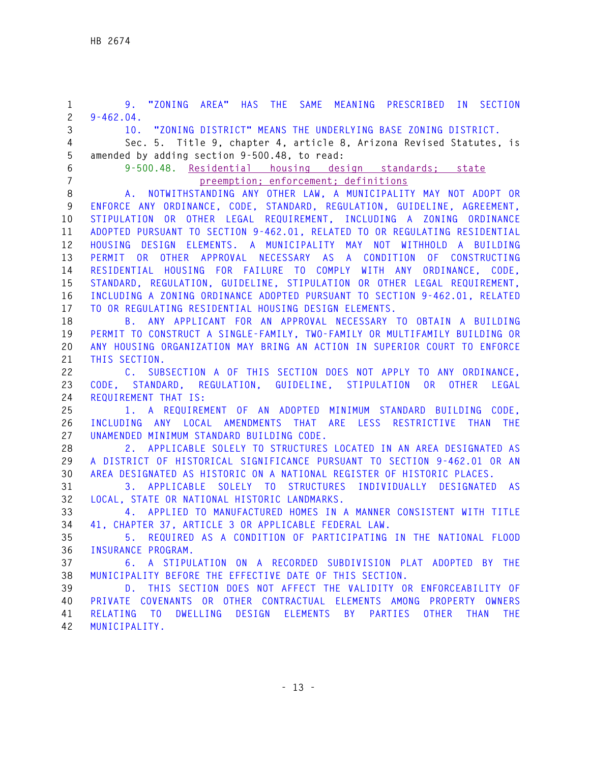**1 9. "ZONING AREA" HAS THE SAME MEANING PRESCRIBED IN SECTION 2 9-462.04. 3 10. "ZONING DISTRICT" MEANS THE UNDERLYING BASE ZONING DISTRICT. 4 Sec. 5. Title 9, chapter 4, article 8, Arizona Revised Statutes, is 5 amended by adding section 9-500.48, to read: 6 9-500.48. Residential housing design standards; state 7 preemption; enforcement; definitions 8 A. NOTWITHSTANDING ANY OTHER LAW, A MUNICIPALITY MAY NOT ADOPT OR 9 ENFORCE ANY ORDINANCE, CODE, STANDARD, REGULATION, GUIDELINE, AGREEMENT, 10 STIPULATION OR OTHER LEGAL REQUIREMENT, INCLUDING A ZONING ORDINANCE 11 ADOPTED PURSUANT TO SECTION 9-462.01, RELATED TO OR REGULATING RESIDENTIAL 12 HOUSING DESIGN ELEMENTS. A MUNICIPALITY MAY NOT WITHHOLD A BUILDING 13 PERMIT OR OTHER APPROVAL NECESSARY AS A CONDITION OF CONSTRUCTING 14 RESIDENTIAL HOUSING FOR FAILURE TO COMPLY WITH ANY ORDINANCE, CODE, 15 STANDARD, REGULATION, GUIDELINE, STIPULATION OR OTHER LEGAL REQUIREMENT, 16 INCLUDING A ZONING ORDINANCE ADOPTED PURSUANT TO SECTION 9-462.01, RELATED 17 TO OR REGULATING RESIDENTIAL HOUSING DESIGN ELEMENTS. 18 B. ANY APPLICANT FOR AN APPROVAL NECESSARY TO OBTAIN A BUILDING 19 PERMIT TO CONSTRUCT A SINGLE-FAMILY, TWO-FAMILY OR MULTIFAMILY BUILDING OR 20 ANY HOUSING ORGANIZATION MAY BRING AN ACTION IN SUPERIOR COURT TO ENFORCE 21 THIS SECTION. 22 C. SUBSECTION A OF THIS SECTION DOES NOT APPLY TO ANY ORDINANCE, 23 CODE, STANDARD, REGULATION, GUIDELINE, STIPULATION OR OTHER LEGAL 24 REQUIREMENT THAT IS: 25 1. A REQUIREMENT OF AN ADOPTED MINIMUM STANDARD BUILDING CODE, 26 INCLUDING ANY LOCAL AMENDMENTS THAT ARE LESS RESTRICTIVE THAN THE 27 UNAMENDED MINIMUM STANDARD BUILDING CODE. 28 2. APPLICABLE SOLELY TO STRUCTURES LOCATED IN AN AREA DESIGNATED AS 29 A DISTRICT OF HISTORICAL SIGNIFICANCE PURSUANT TO SECTION 9-462.01 OR AN 30 AREA DESIGNATED AS HISTORIC ON A NATIONAL REGISTER OF HISTORIC PLACES. 31 3. APPLICABLE SOLELY TO STRUCTURES INDIVIDUALLY DESIGNATED AS 32 LOCAL, STATE OR NATIONAL HISTORIC LANDMARKS. 33 4. APPLIED TO MANUFACTURED HOMES IN A MANNER CONSISTENT WITH TITLE 34 41, CHAPTER 37, ARTICLE 3 OR APPLICABLE FEDERAL LAW. 35 5. REQUIRED AS A CONDITION OF PARTICIPATING IN THE NATIONAL FLOOD 36 INSURANCE PROGRAM. 37 6. A STIPULATION ON A RECORDED SUBDIVISION PLAT ADOPTED BY THE 38 MUNICIPALITY BEFORE THE EFFECTIVE DATE OF THIS SECTION. 39 D. THIS SECTION DOES NOT AFFECT THE VALIDITY OR ENFORCEABILITY OF 40 PRIVATE COVENANTS OR OTHER CONTRACTUAL ELEMENTS AMONG PROPERTY OWNERS 41 RELATING TO DWELLING DESIGN ELEMENTS BY PARTIES OTHER THAN THE 42 MUNICIPALITY.**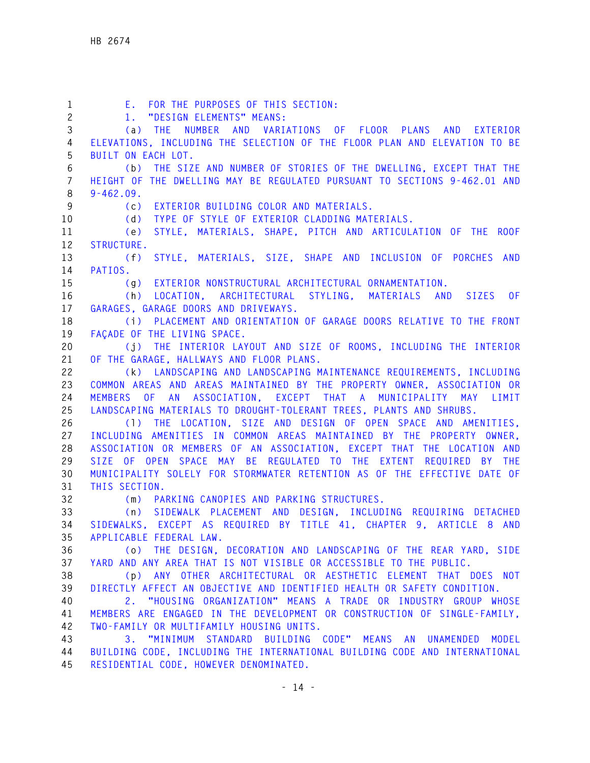| $\mathbf{1}$    | E. FOR THE PURPOSES OF THIS SECTION:                                                                                                    |
|-----------------|-----------------------------------------------------------------------------------------------------------------------------------------|
| $\mathbf{2}$    | 1. "DESIGN ELEMENTS" MEANS:                                                                                                             |
| 3               | (a) THE NUMBER AND VARIATIONS OF FLOOR PLANS AND EXTERIOR                                                                               |
| 4               | ELEVATIONS, INCLUDING THE SELECTION OF THE FLOOR PLAN AND ELEVATION TO BE                                                               |
| 5               | BUILT ON EACH LOT.                                                                                                                      |
| 6               | THE SIZE AND NUMBER OF STORIES OF THE DWELLING, EXCEPT THAT THE<br>(b)                                                                  |
| $7\overline{ }$ | HEIGHT OF THE DWELLING MAY BE REGULATED PURSUANT TO SECTIONS 9-462.01 AND                                                               |
| 8               | $9 - 462.09.$                                                                                                                           |
| $\overline{9}$  | EXTERIOR BUILDING COLOR AND MATERIALS.<br>(C)                                                                                           |
| 10 <sub>1</sub> | (d) TYPE OF STYLE OF EXTERIOR CLADDING MATERIALS.                                                                                       |
| 11              | STYLE, MATERIALS, SHAPE, PITCH AND ARTICULATION OF THE ROOF<br>(e)                                                                      |
| 12              | STRUCTURE.                                                                                                                              |
| 13              | STYLE, MATERIALS, SIZE, SHAPE AND INCLUSION OF PORCHES AND<br>(f)                                                                       |
| 14              | PATIOS.                                                                                                                                 |
| 15              | (g) EXTERIOR NONSTRUCTURAL ARCHITECTURAL ORNAMENTATION.                                                                                 |
| 16              | (h) LOCATION, ARCHITECTURAL STYLING, MATERIALS AND SIZES OF                                                                             |
| 17              | GARAGES, GARAGE DOORS AND DRIVEWAYS.                                                                                                    |
| 18              | (i) PLACEMENT AND ORIENTATION OF GARAGE DOORS RELATIVE TO THE FRONT                                                                     |
| 19              | FACADE OF THE LIVING SPACE.                                                                                                             |
| 20              | (j) THE INTERIOR LAYOUT AND SIZE OF ROOMS, INCLUDING THE INTERIOR                                                                       |
| 21              | OF THE GARAGE, HALLWAYS AND FLOOR PLANS.                                                                                                |
| 22              | (k) LANDSCAPING AND LANDSCAPING MAINTENANCE REQUIREMENTS, INCLUDING                                                                     |
| 23              | COMMON AREAS AND AREAS MAINTAINED BY THE PROPERTY OWNER, ASSOCIATION OR                                                                 |
| 24              | MEMBERS OF AN ASSOCIATION, EXCEPT THAT A MUNICIPALITY MAY LIMIT                                                                         |
| 25              | LANDSCAPING MATERIALS TO DROUGHT-TOLERANT TREES, PLANTS AND SHRUBS.                                                                     |
| 26              | (1) THE LOCATION, SIZE AND DESIGN OF OPEN SPACE AND AMENITIES,                                                                          |
| 27              | INCLUDING AMENITIES IN COMMON AREAS MAINTAINED BY THE PROPERTY OWNER,                                                                   |
| 28              | ASSOCIATION OR MEMBERS OF AN ASSOCIATION, EXCEPT THAT THE LOCATION AND                                                                  |
| 29              | SIZE OF OPEN SPACE MAY BE REGULATED TO THE EXTENT REQUIRED BY THE                                                                       |
| 30              | MUNICIPALITY SOLELY FOR STORMWATER RETENTION AS OF THE EFFECTIVE DATE OF                                                                |
| 31              | THIS SECTION.                                                                                                                           |
| 32              | (m) PARKING CANOPIES AND PARKING STRUCTURES.                                                                                            |
| 33              | (n) SIDEWALK PLACEMENT AND DESIGN, INCLUDING REQUIRING DETACHED                                                                         |
| 34              | SIDEWALKS, EXCEPT AS REQUIRED BY TITLE 41, CHAPTER 9, ARTICLE 8 AND                                                                     |
| 35              | APPLICABLE FEDERAL LAW.                                                                                                                 |
| 36              | (o) THE DESIGN, DECORATION AND LANDSCAPING OF THE REAR YARD, SIDE<br>YARD AND ANY AREA THAT IS NOT VISIBLE OR ACCESSIBLE TO THE PUBLIC. |
| 37<br>38        | (p) ANY OTHER ARCHITECTURAL OR AESTHETIC ELEMENT THAT DOES NOT                                                                          |
| 39              | DIRECTLY AFFECT AN OBJECTIVE AND IDENTIFIED HEALTH OR SAFETY CONDITION.                                                                 |
| 40              | 2. "HOUSING ORGANIZATION" MEANS A TRADE OR INDUSTRY GROUP WHOSE                                                                         |
| 41              | MEMBERS ARE ENGAGED IN THE DEVELOPMENT OR CONSTRUCTION OF SINGLE-FAMILY,                                                                |
| 42              | TWO-FAMILY OR MULTIFAMILY HOUSING UNITS.                                                                                                |
| 43              | 3. "MINIMUM STANDARD BUILDING CODE" MEANS AN UNAMENDED<br>MODEL                                                                         |
| 44              | BUILDING CODE, INCLUDING THE INTERNATIONAL BUILDING CODE AND INTERNATIONAL                                                              |
| 45              | RESIDENTIAL CODE, HOWEVER DENOMINATED.                                                                                                  |
|                 |                                                                                                                                         |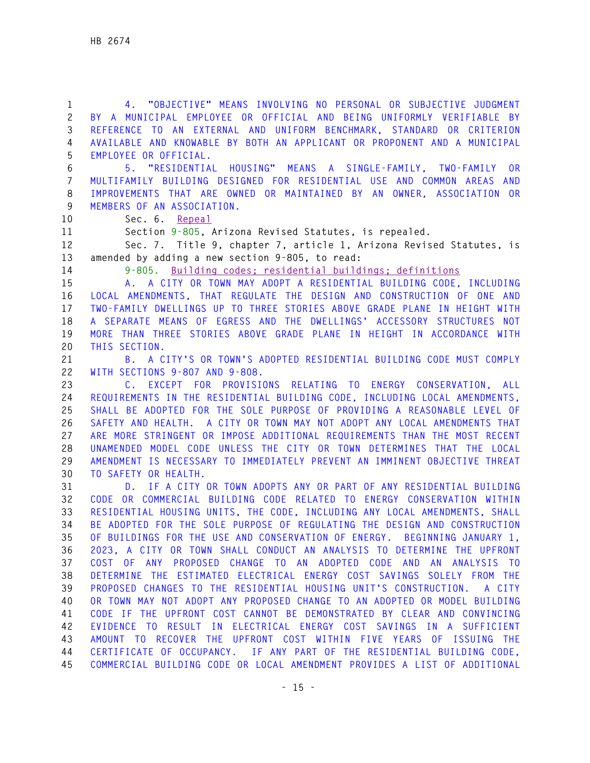**1 4. "OBJECTIVE" MEANS INVOLVING NO PERSONAL OR SUBJECTIVE JUDGMENT 2 BY A MUNICIPAL EMPLOYEE OR OFFICIAL AND BEING UNIFORMLY VERIFIABLE BY 3 REFERENCE TO AN EXTERNAL AND UNIFORM BENCHMARK, STANDARD OR CRITERION 4 AVAILABLE AND KNOWABLE BY BOTH AN APPLICANT OR PROPONENT AND A MUNICIPAL 5 EMPLOYEE OR OFFICIAL.** 

**6 5. "RESIDENTIAL HOUSING" MEANS A SINGLE-FAMILY, TWO-FAMILY OR 7 MULTIFAMILY BUILDING DESIGNED FOR RESIDENTIAL USE AND COMMON AREAS AND 8 IMPROVEMENTS THAT ARE OWNED OR MAINTAINED BY AN OWNER, ASSOCIATION OR 9 MEMBERS OF AN ASSOCIATION.** 

**10 Sec. 6. Repeal**

**11 Section 9-805, Arizona Revised Statutes, is repealed.** 

**12 Sec. 7. Title 9, chapter 7, article 1, Arizona Revised Statutes, is 13 amended by adding a new section 9-805, to read:** 

**14 9-805. Building codes; residential buildings; definitions** 

**15 A. A CITY OR TOWN MAY ADOPT A RESIDENTIAL BUILDING CODE, INCLUDING 16 LOCAL AMENDMENTS, THAT REGULATE THE DESIGN AND CONSTRUCTION OF ONE AND 17 TWO-FAMILY DWELLINGS UP TO THREE STORIES ABOVE GRADE PLANE IN HEIGHT WITH 18 A SEPARATE MEANS OF EGRESS AND THE DWELLINGS' ACCESSORY STRUCTURES NOT 19 MORE THAN THREE STORIES ABOVE GRADE PLANE IN HEIGHT IN ACCORDANCE WITH 20 THIS SECTION.** 

**21 B. A CITY'S OR TOWN'S ADOPTED RESIDENTIAL BUILDING CODE MUST COMPLY 22 WITH SECTIONS 9-807 AND 9-808.** 

**23 C. EXCEPT FOR PROVISIONS RELATING TO ENERGY CONSERVATION, ALL 24 REQUIREMENTS IN THE RESIDENTIAL BUILDING CODE, INCLUDING LOCAL AMENDMENTS, 25 SHALL BE ADOPTED FOR THE SOLE PURPOSE OF PROVIDING A REASONABLE LEVEL OF 26 SAFETY AND HEALTH. A CITY OR TOWN MAY NOT ADOPT ANY LOCAL AMENDMENTS THAT 27 ARE MORE STRINGENT OR IMPOSE ADDITIONAL REQUIREMENTS THAN THE MOST RECENT 28 UNAMENDED MODEL CODE UNLESS THE CITY OR TOWN DETERMINES THAT THE LOCAL 29 AMENDMENT IS NECESSARY TO IMMEDIATELY PREVENT AN IMMINENT OBJECTIVE THREAT 30 TO SAFETY OR HEALTH.** 

**31 D. IF A CITY OR TOWN ADOPTS ANY OR PART OF ANY RESIDENTIAL BUILDING 32 CODE OR COMMERCIAL BUILDING CODE RELATED TO ENERGY CONSERVATION WITHIN 33 RESIDENTIAL HOUSING UNITS, THE CODE, INCLUDING ANY LOCAL AMENDMENTS, SHALL 34 BE ADOPTED FOR THE SOLE PURPOSE OF REGULATING THE DESIGN AND CONSTRUCTION 35 OF BUILDINGS FOR THE USE AND CONSERVATION OF ENERGY. BEGINNING JANUARY 1, 36 2023, A CITY OR TOWN SHALL CONDUCT AN ANALYSIS TO DETERMINE THE UPFRONT 37 COST OF ANY PROPOSED CHANGE TO AN ADOPTED CODE AND AN ANALYSIS TO 38 DETERMINE THE ESTIMATED ELECTRICAL ENERGY COST SAVINGS SOLELY FROM THE 39 PROPOSED CHANGES TO THE RESIDENTIAL HOUSING UNIT'S CONSTRUCTION. A CITY 40 OR TOWN MAY NOT ADOPT ANY PROPOSED CHANGE TO AN ADOPTED OR MODEL BUILDING 41 CODE IF THE UPFRONT COST CANNOT BE DEMONSTRATED BY CLEAR AND CONVINCING 42 EVIDENCE TO RESULT IN ELECTRICAL ENERGY COST SAVINGS IN A SUFFICIENT 43 AMOUNT TO RECOVER THE UPFRONT COST WITHIN FIVE YEARS OF ISSUING THE 44 CERTIFICATE OF OCCUPANCY. IF ANY PART OF THE RESIDENTIAL BUILDING CODE, 45 COMMERCIAL BUILDING CODE OR LOCAL AMENDMENT PROVIDES A LIST OF ADDITIONAL**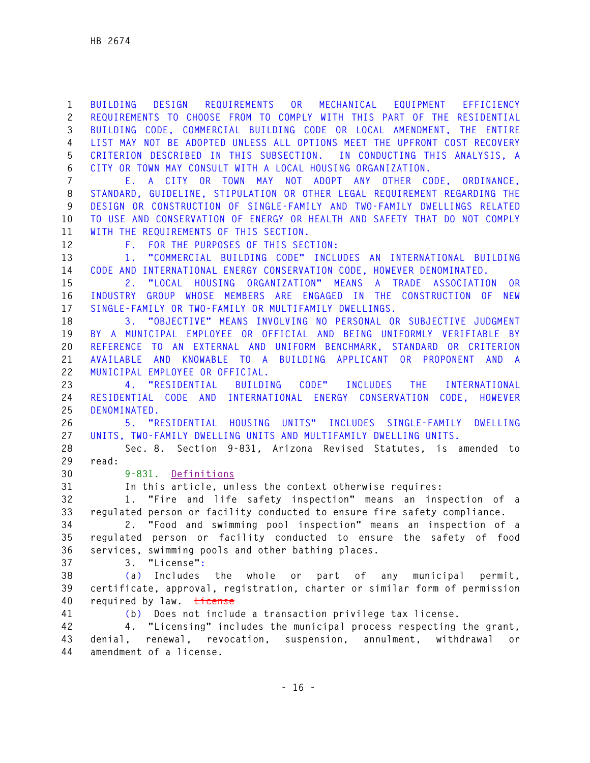**1 BUILDING DESIGN REQUIREMENTS OR MECHANICAL EQUIPMENT EFFICIENCY 2 REQUIREMENTS TO CHOOSE FROM TO COMPLY WITH THIS PART OF THE RESIDENTIAL 3 BUILDING CODE, COMMERCIAL BUILDING CODE OR LOCAL AMENDMENT, THE ENTIRE 4 LIST MAY NOT BE ADOPTED UNLESS ALL OPTIONS MEET THE UPFRONT COST RECOVERY 5 CRITERION DESCRIBED IN THIS SUBSECTION. IN CONDUCTING THIS ANALYSIS, A 6 CITY OR TOWN MAY CONSULT WITH A LOCAL HOUSING ORGANIZATION.** 

**7 E. A CITY OR TOWN MAY NOT ADOPT ANY OTHER CODE, ORDINANCE, 8 STANDARD, GUIDELINE, STIPULATION OR OTHER LEGAL REQUIREMENT REGARDING THE 9 DESIGN OR CONSTRUCTION OF SINGLE-FAMILY AND TWO-FAMILY DWELLINGS RELATED 10 TO USE AND CONSERVATION OF ENERGY OR HEALTH AND SAFETY THAT DO NOT COMPLY 11 WITH THE REQUIREMENTS OF THIS SECTION.** 

**12 F. FOR THE PURPOSES OF THIS SECTION:** 

**13 1. "COMMERCIAL BUILDING CODE" INCLUDES AN INTERNATIONAL BUILDING 14 CODE AND INTERNATIONAL ENERGY CONSERVATION CODE, HOWEVER DENOMINATED.** 

**15 2. "LOCAL HOUSING ORGANIZATION" MEANS A TRADE ASSOCIATION OR 16 INDUSTRY GROUP WHOSE MEMBERS ARE ENGAGED IN THE CONSTRUCTION OF NEW 17 SINGLE-FAMILY OR TWO-FAMILY OR MULTIFAMILY DWELLINGS.** 

**18 3. "OBJECTIVE" MEANS INVOLVING NO PERSONAL OR SUBJECTIVE JUDGMENT 19 BY A MUNICIPAL EMPLOYEE OR OFFICIAL AND BEING UNIFORMLY VERIFIABLE BY 20 REFERENCE TO AN EXTERNAL AND UNIFORM BENCHMARK, STANDARD OR CRITERION 21 AVAILABLE AND KNOWABLE TO A BUILDING APPLICANT OR PROPONENT AND A 22 MUNICIPAL EMPLOYEE OR OFFICIAL.** 

**23 4. "RESIDENTIAL BUILDING CODE" INCLUDES THE INTERNATIONAL 24 RESIDENTIAL CODE AND INTERNATIONAL ENERGY CONSERVATION CODE, HOWEVER 25 DENOMINATED.** 

**26 5. "RESIDENTIAL HOUSING UNITS" INCLUDES SINGLE-FAMILY DWELLING 27 UNITS, TWO-FAMILY DWELLING UNITS AND MULTIFAMILY DWELLING UNITS.** 

**28 Sec. 8. Section 9-831, Arizona Revised Statutes, is amended to 29 read:** 

**30 9-831. Definitions**

**31 In this article, unless the context otherwise requires:** 

**32 1. "Fire and life safety inspection" means an inspection of a 33 regulated person or facility conducted to ensure fire safety compliance.** 

**34 2. "Food and swimming pool inspection" means an inspection of a 35 regulated person or facility conducted to ensure the safety of food 36 services, swimming pools and other bathing places.** 

**37 3. "License":** 

**38 (a) Includes the whole or part of any municipal permit, 39 certificate, approval, registration, charter or similar form of permission 40 required by law. License** 

**41 (b) Does not include a transaction privilege tax license.** 

**42 4. "Licensing" includes the municipal process respecting the grant, 43 denial, renewal, revocation, suspension, annulment, withdrawal or 44 amendment of a license.**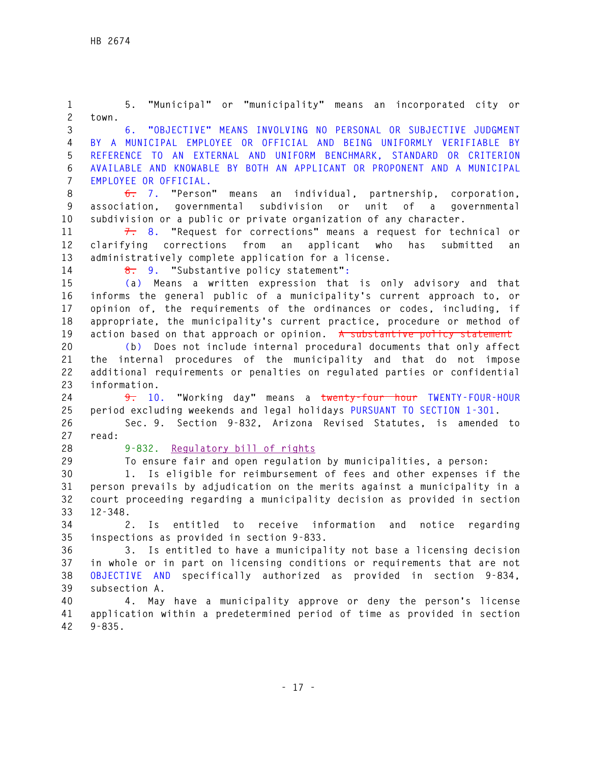**1 5. "Municipal" or "municipality" means an incorporated city or 2 town. 3 6. "OBJECTIVE" MEANS INVOLVING NO PERSONAL OR SUBJECTIVE JUDGMENT 4 BY A MUNICIPAL EMPLOYEE OR OFFICIAL AND BEING UNIFORMLY VERIFIABLE BY 5 REFERENCE TO AN EXTERNAL AND UNIFORM BENCHMARK, STANDARD OR CRITERION 6 AVAILABLE AND KNOWABLE BY BOTH AN APPLICANT OR PROPONENT AND A MUNICIPAL 7 EMPLOYEE OR OFFICIAL. 8 6. 7. "Person" means an individual, partnership, corporation, 9 association, governmental subdivision or unit of a governmental 10 subdivision or a public or private organization of any character. 11 7. 8. "Request for corrections" means a request for technical or 12 clarifying corrections from an applicant who has submitted an 13 administratively complete application for a license. 14 8. 9. "Substantive policy statement": 15 (a) Means a written expression that is only advisory and that 16 informs the general public of a municipality's current approach to, or 17 opinion of, the requirements of the ordinances or codes, including, if 18 appropriate, the municipality's current practice, procedure or method of**  19 action based on that approach or opinion. A substantive policy statement **20 (b) Does not include internal procedural documents that only affect 21 the internal procedures of the municipality and that do not impose 22 additional requirements or penalties on regulated parties or confidential 23 information. 24 9. 10. "Working day" means a twenty-four hour TWENTY-FOUR-HOUR 25 period excluding weekends and legal holidays PURSUANT TO SECTION 1-301. 26 Sec. 9. Section 9-832, Arizona Revised Statutes, is amended to 27 read: 28 9-832. Regulatory bill of rights 29 To ensure fair and open regulation by municipalities, a person: 30 1. Is eligible for reimbursement of fees and other expenses if the 31 person prevails by adjudication on the merits against a municipality in a 32 court proceeding regarding a municipality decision as provided in section 33 12-348. 34 2. Is entitled to receive information and notice regarding 35 inspections as provided in section 9-833. 36 3. Is entitled to have a municipality not base a licensing decision 37 in whole or in part on licensing conditions or requirements that are not 38 OBJECTIVE AND specifically authorized as provided in section 9-834, 39 subsection A. 40 4. May have a municipality approve or deny the person's license 41 application within a predetermined period of time as provided in section 42 9-835.**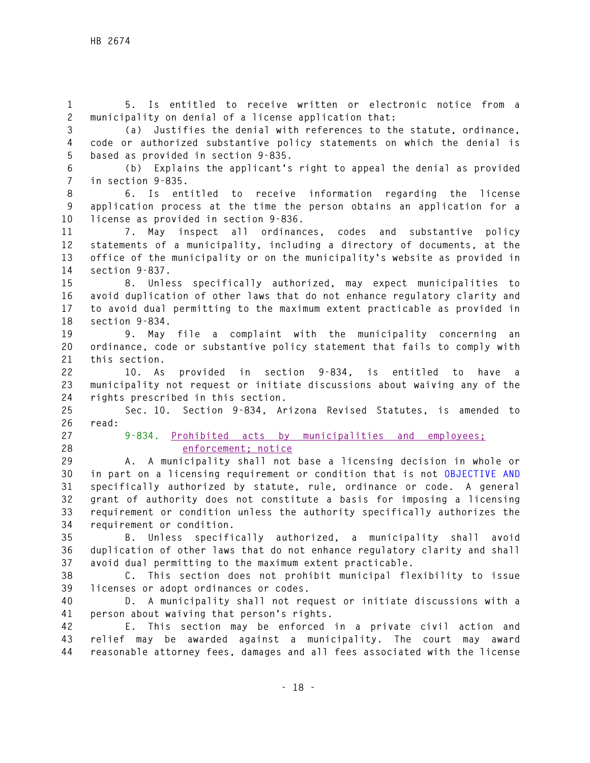**1 5. Is entitled to receive written or electronic notice from a 2 municipality on denial of a license application that:** 

**3 (a) Justifies the denial with references to the statute, ordinance, 4 code or authorized substantive policy statements on which the denial is 5 based as provided in section 9-835.** 

**6 (b) Explains the applicant's right to appeal the denial as provided 7 in section 9-835.** 

**8 6. Is entitled to receive information regarding the license 9 application process at the time the person obtains an application for a 10 license as provided in section 9-836.** 

**11 7. May inspect all ordinances, codes and substantive policy 12 statements of a municipality, including a directory of documents, at the 13 office of the municipality or on the municipality's website as provided in 14 section 9-837.** 

**15 8. Unless specifically authorized, may expect municipalities to 16 avoid duplication of other laws that do not enhance regulatory clarity and 17 to avoid dual permitting to the maximum extent practicable as provided in 18 section 9-834.** 

**19 9. May file a complaint with the municipality concerning an 20 ordinance, code or substantive policy statement that fails to comply with 21 this section.** 

**22 10. As provided in section 9-834, is entitled to have a 23 municipality not request or initiate discussions about waiving any of the 24 rights prescribed in this section.** 

**25 Sec. 10. Section 9-834, Arizona Revised Statutes, is amended to 26 read:** 

**27 9-834. Prohibited acts by municipalities and employees; 28 enforcement; notice**

**29 A. A municipality shall not base a licensing decision in whole or 30 in part on a licensing requirement or condition that is not OBJECTIVE AND 31 specifically authorized by statute, rule, ordinance or code. A general 32 grant of authority does not constitute a basis for imposing a licensing 33 requirement or condition unless the authority specifically authorizes the 34 requirement or condition.** 

**35 B. Unless specifically authorized, a municipality shall avoid 36 duplication of other laws that do not enhance regulatory clarity and shall 37 avoid dual permitting to the maximum extent practicable.** 

**38 C. This section does not prohibit municipal flexibility to issue 39 licenses or adopt ordinances or codes.** 

**40 D. A municipality shall not request or initiate discussions with a 41 person about waiving that person's rights.** 

**42 E. This section may be enforced in a private civil action and 43 relief may be awarded against a municipality. The court may award 44 reasonable attorney fees, damages and all fees associated with the license**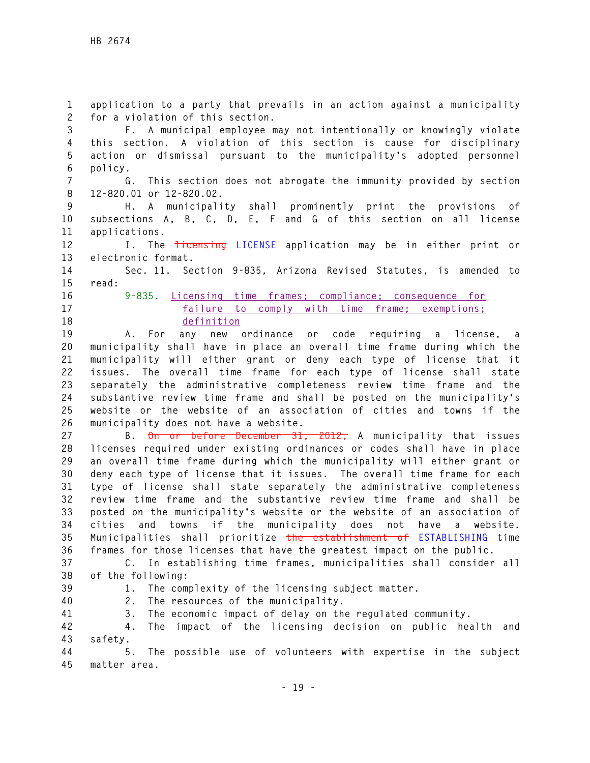**1 application to a party that prevails in an action against a municipality 2 for a violation of this section. 3 F. A municipal employee may not intentionally or knowingly violate 4 this section. A violation of this section is cause for disciplinary 5 action or dismissal pursuant to the municipality's adopted personnel 6 policy. 7 G. This section does not abrogate the immunity provided by section 8 12-820.01 or 12-820.02. 9 H. A municipality shall prominently print the provisions of 10 subsections A, B, C, D, E, F and G of this section on all license 11 applications. 12 I. The licensing LICENSE application may be in either print or 13 electronic format. 14 Sec. 11. Section 9-835, Arizona Revised Statutes, is amended to 15 read: 16 9-835. Licensing time frames; compliance; consequence for 17 failure to comply with time frame; exemptions; 18 definition 19 A. For any new ordinance or code requiring a license, a 20 municipality shall have in place an overall time frame during which the 21 municipality will either grant or deny each type of license that it 22 issues. The overall time frame for each type of license shall state 23 separately the administrative completeness review time frame and the 24 substantive review time frame and shall be posted on the municipality's 25 website or the website of an association of cities and towns if the 26 municipality does not have a website. 27 B. On or before December 31, 2012, A municipality that issues 28 licenses required under existing ordinances or codes shall have in place 29 an overall time frame during which the municipality will either grant or 30 deny each type of license that it issues. The overall time frame for each 31 type of license shall state separately the administrative completeness 32 review time frame and the substantive review time frame and shall be 33 posted on the municipality's website or the website of an association of 34 cities and towns if the municipality does not have a website. 35 Municipalities shall prioritize the establishment of ESTABLISHING time 36 frames for those licenses that have the greatest impact on the public. 37 C. In establishing time frames, municipalities shall consider all 38 of the following: 39 1. The complexity of the licensing subject matter. 40 2. The resources of the municipality. 41 3. The economic impact of delay on the regulated community. 42 4. The impact of the licensing decision on public health and 43 safety. 44 5. The possible use of volunteers with expertise in the subject 45 matter area.**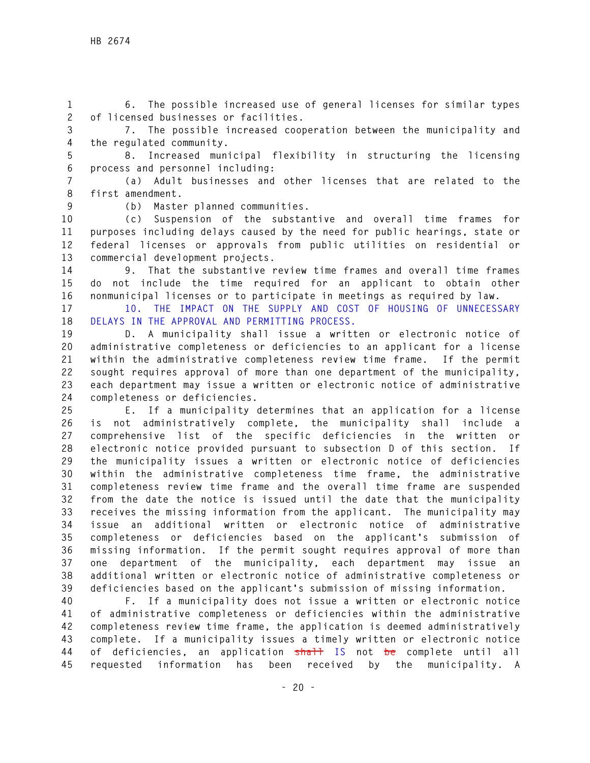**1 6. The possible increased use of general licenses for similar types 2 of licensed businesses or facilities.** 

**3 7. The possible increased cooperation between the municipality and 4 the regulated community.** 

**5 8. Increased municipal flexibility in structuring the licensing 6 process and personnel including:** 

**7 (a) Adult businesses and other licenses that are related to the 8 first amendment.** 

**9 (b) Master planned communities.** 

**10 (c) Suspension of the substantive and overall time frames for 11 purposes including delays caused by the need for public hearings, state or 12 federal licenses or approvals from public utilities on residential or 13 commercial development projects.** 

**14 9. That the substantive review time frames and overall time frames 15 do not include the time required for an applicant to obtain other 16 nonmunicipal licenses or to participate in meetings as required by law.** 

**17 10. THE IMPACT ON THE SUPPLY AND COST OF HOUSING OF UNNECESSARY 18 DELAYS IN THE APPROVAL AND PERMITTING PROCESS.** 

**19 D. A municipality shall issue a written or electronic notice of 20 administrative completeness or deficiencies to an applicant for a license 21 within the administrative completeness review time frame. If the permit 22 sought requires approval of more than one department of the municipality, 23 each department may issue a written or electronic notice of administrative 24 completeness or deficiencies.** 

**25 E. If a municipality determines that an application for a license 26 is not administratively complete, the municipality shall include a 27 comprehensive list of the specific deficiencies in the written or 28 electronic notice provided pursuant to subsection D of this section. If 29 the municipality issues a written or electronic notice of deficiencies 30 within the administrative completeness time frame, the administrative 31 completeness review time frame and the overall time frame are suspended 32 from the date the notice is issued until the date that the municipality 33 receives the missing information from the applicant. The municipality may 34 issue an additional written or electronic notice of administrative 35 completeness or deficiencies based on the applicant's submission of 36 missing information. If the permit sought requires approval of more than 37 one department of the municipality, each department may issue an 38 additional written or electronic notice of administrative completeness or 39 deficiencies based on the applicant's submission of missing information.** 

**40 F. If a municipality does not issue a written or electronic notice 41 of administrative completeness or deficiencies within the administrative 42 completeness review time frame, the application is deemed administratively 43 complete. If a municipality issues a timely written or electronic notice 44 of deficiencies, an application shall IS not be complete until all 45 requested information has been received by the municipality. A**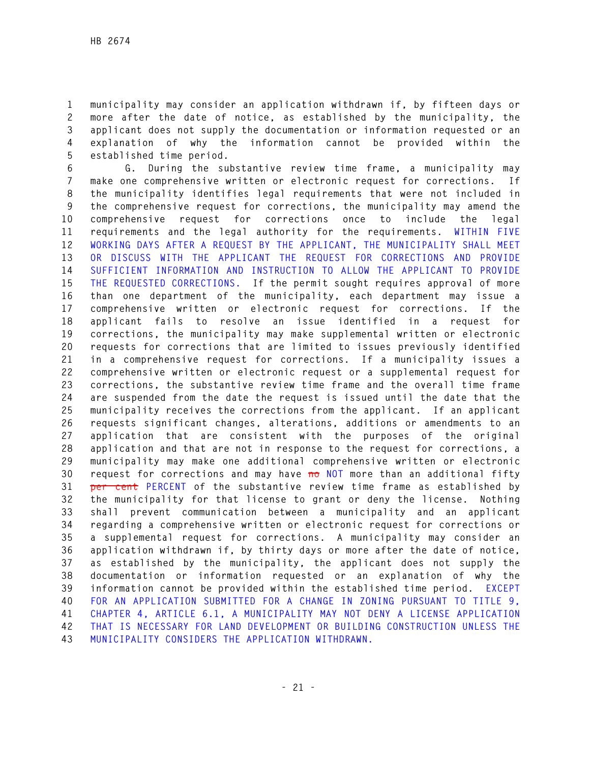**1 municipality may consider an application withdrawn if, by fifteen days or 2 more after the date of notice, as established by the municipality, the 3 applicant does not supply the documentation or information requested or an 4 explanation of why the information cannot be provided within the 5 established time period.** 

**6 G. During the substantive review time frame, a municipality may 7 make one comprehensive written or electronic request for corrections. If 8 the municipality identifies legal requirements that were not included in 9 the comprehensive request for corrections, the municipality may amend the 10 comprehensive request for corrections once to include the legal 11 requirements and the legal authority for the requirements. WITHIN FIVE 12 WORKING DAYS AFTER A REQUEST BY THE APPLICANT, THE MUNICIPALITY SHALL MEET 13 OR DISCUSS WITH THE APPLICANT THE REQUEST FOR CORRECTIONS AND PROVIDE 14 SUFFICIENT INFORMATION AND INSTRUCTION TO ALLOW THE APPLICANT TO PROVIDE 15 THE REQUESTED CORRECTIONS. If the permit sought requires approval of more 16 than one department of the municipality, each department may issue a 17 comprehensive written or electronic request for corrections. If the 18 applicant fails to resolve an issue identified in a request for 19 corrections, the municipality may make supplemental written or electronic 20 requests for corrections that are limited to issues previously identified 21 in a comprehensive request for corrections. If a municipality issues a 22 comprehensive written or electronic request or a supplemental request for 23 corrections, the substantive review time frame and the overall time frame 24 are suspended from the date the request is issued until the date that the 25 municipality receives the corrections from the applicant. If an applicant 26 requests significant changes, alterations, additions or amendments to an 27 application that are consistent with the purposes of the original 28 application and that are not in response to the request for corrections, a 29 municipality may make one additional comprehensive written or electronic 30 request for corrections and may have no NOT more than an additional fifty 31 per cent PERCENT of the substantive review time frame as established by 32 the municipality for that license to grant or deny the license. Nothing 33 shall prevent communication between a municipality and an applicant 34 regarding a comprehensive written or electronic request for corrections or 35 a supplemental request for corrections. A municipality may consider an 36 application withdrawn if, by thirty days or more after the date of notice, 37 as established by the municipality, the applicant does not supply the 38 documentation or information requested or an explanation of why the 39 information cannot be provided within the established time period. EXCEPT 40 FOR AN APPLICATION SUBMITTED FOR A CHANGE IN ZONING PURSUANT TO TITLE 9, 41 CHAPTER 4, ARTICLE 6.1, A MUNICIPALITY MAY NOT DENY A LICENSE APPLICATION 42 THAT IS NECESSARY FOR LAND DEVELOPMENT OR BUILDING CONSTRUCTION UNLESS THE 43 MUNICIPALITY CONSIDERS THE APPLICATION WITHDRAWN.**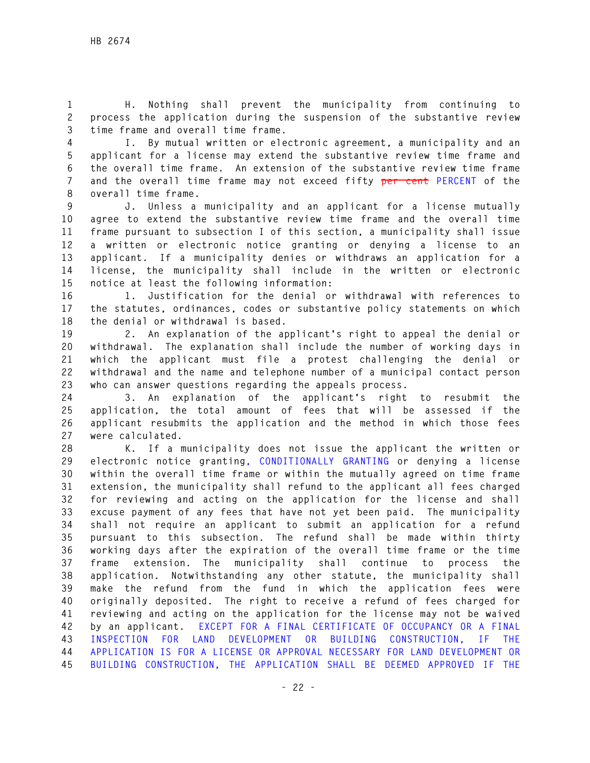**1 H. Nothing shall prevent the municipality from continuing to 2 process the application during the suspension of the substantive review 3 time frame and overall time frame.** 

**4 I. By mutual written or electronic agreement, a municipality and an 5 applicant for a license may extend the substantive review time frame and 6 the overall time frame. An extension of the substantive review time frame 7 and the overall time frame may not exceed fifty per cent PERCENT of the 8 overall time frame.** 

**9 J. Unless a municipality and an applicant for a license mutually 10 agree to extend the substantive review time frame and the overall time 11 frame pursuant to subsection I of this section, a municipality shall issue 12 a written or electronic notice granting or denying a license to an 13 applicant. If a municipality denies or withdraws an application for a 14 license, the municipality shall include in the written or electronic 15 notice at least the following information:** 

**16 1. Justification for the denial or withdrawal with references to 17 the statutes, ordinances, codes or substantive policy statements on which 18 the denial or withdrawal is based.** 

**19 2. An explanation of the applicant's right to appeal the denial or 20 withdrawal. The explanation shall include the number of working days in 21 which the applicant must file a protest challenging the denial or 22 withdrawal and the name and telephone number of a municipal contact person 23 who can answer questions regarding the appeals process.** 

**24 3. An explanation of the applicant's right to resubmit the 25 application, the total amount of fees that will be assessed if the 26 applicant resubmits the application and the method in which those fees 27 were calculated.** 

**28 K. If a municipality does not issue the applicant the written or 29 electronic notice granting, CONDITIONALLY GRANTING or denying a license 30 within the overall time frame or within the mutually agreed on time frame 31 extension, the municipality shall refund to the applicant all fees charged 32 for reviewing and acting on the application for the license and shall 33 excuse payment of any fees that have not yet been paid. The municipality 34 shall not require an applicant to submit an application for a refund 35 pursuant to this subsection. The refund shall be made within thirty 36 working days after the expiration of the overall time frame or the time 37 frame extension. The municipality shall continue to process the 38 application. Notwithstanding any other statute, the municipality shall 39 make the refund from the fund in which the application fees were 40 originally deposited. The right to receive a refund of fees charged for 41 reviewing and acting on the application for the license may not be waived 42 by an applicant. EXCEPT FOR A FINAL CERTIFICATE OF OCCUPANCY OR A FINAL 43 INSPECTION FOR LAND DEVELOPMENT OR BUILDING CONSTRUCTION, IF THE 44 APPLICATION IS FOR A LICENSE OR APPROVAL NECESSARY FOR LAND DEVELOPMENT OR 45 BUILDING CONSTRUCTION, THE APPLICATION SHALL BE DEEMED APPROVED IF THE**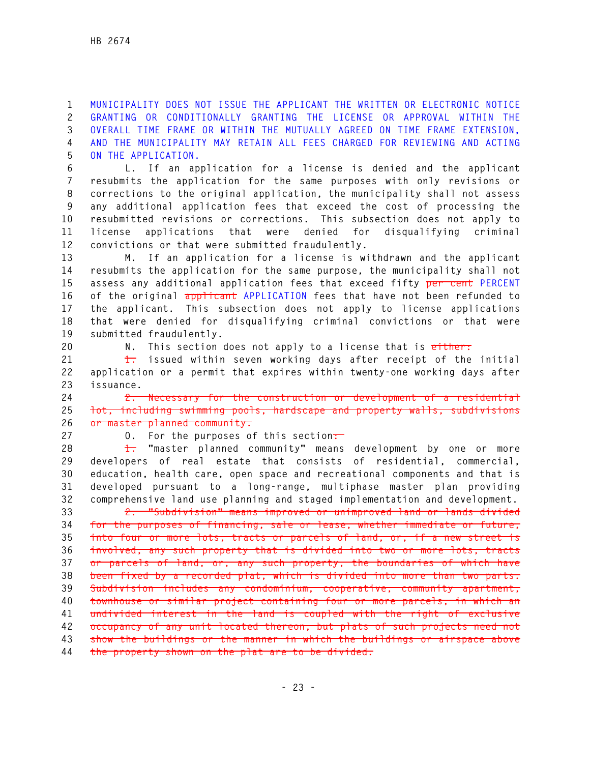**1 MUNICIPALITY DOES NOT ISSUE THE APPLICANT THE WRITTEN OR ELECTRONIC NOTICE 2 GRANTING OR CONDITIONALLY GRANTING THE LICENSE OR APPROVAL WITHIN THE 3 OVERALL TIME FRAME OR WITHIN THE MUTUALLY AGREED ON TIME FRAME EXTENSION, 4 AND THE MUNICIPALITY MAY RETAIN ALL FEES CHARGED FOR REVIEWING AND ACTING 5 ON THE APPLICATION.** 

**6 L. If an application for a license is denied and the applicant 7 resubmits the application for the same purposes with only revisions or 8 corrections to the original application, the municipality shall not assess 9 any additional application fees that exceed the cost of processing the 10 resubmitted revisions or corrections. This subsection does not apply to 11 license applications that were denied for disqualifying criminal 12 convictions or that were submitted fraudulently.** 

**13 M. If an application for a license is withdrawn and the applicant 14 resubmits the application for the same purpose, the municipality shall not 15 assess any additional application fees that exceed fifty per cent PERCENT 16 of the original applicant APPLICATION fees that have not been refunded to 17 the applicant. This subsection does not apply to license applications 18 that were denied for disqualifying criminal convictions or that were 19 submitted fraudulently.** 

**20 N. This section does not apply to a license that is either:**

**21 1. issued within seven working days after receipt of the initial 22 application or a permit that expires within twenty-one working days after 23 issuance.** 

**24 2. Necessary for the construction or development of a residential 25 lot, including swimming pools, hardscape and property walls, subdivisions 26 or master planned community.** 

**27 O. For the purposes of this section:** 

**28 1. "master planned community" means development by one or more 29 developers of real estate that consists of residential, commercial, 30 education, health care, open space and recreational components and that is 31 developed pursuant to a long-range, multiphase master plan providing 32 comprehensive land use planning and staged implementation and development.** 

**33 2. "Subdivision" means improved or unimproved land or lands divided 34 for the purposes of financing, sale or lease, whether immediate or future, 35 into four or more lots, tracts or parcels of land, or, if a new street is 36 involved, any such property that is divided into two or more lots, tracts 37 or parcels of land, or, any such property, the boundaries of which have 38 been fixed by a recorded plat, which is divided into more than two parts. 39 Subdivision includes any condominium, cooperative, community apartment, 40 townhouse or similar project containing four or more parcels, in which an 41 undivided interest in the land is coupled with the right of exclusive 42 occupancy of any unit located thereon, but plats of such projects need not 43 show the buildings or the manner in which the buildings or airspace above 44 the property shown on the plat are to be divided.**